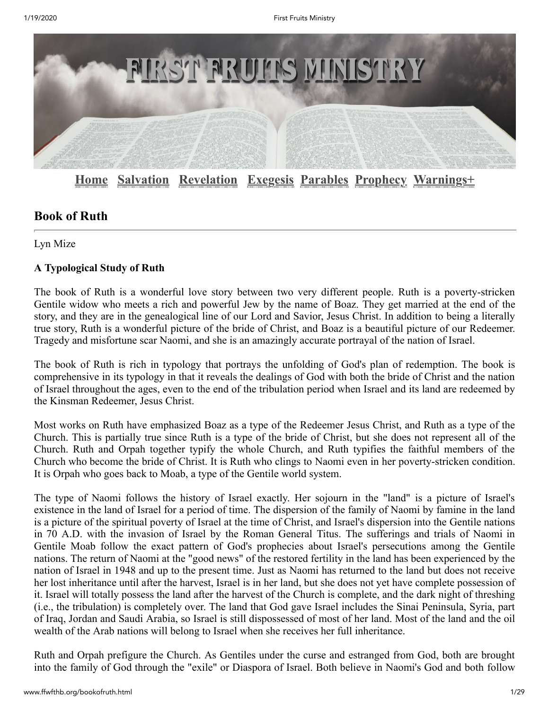

**[Home](http://www.ffwfthb.org/index.html) [Salvation](http://www.ffwfthb.org/index.html#salvation) [Revelation](http://www.ffwfthb.org/index.html#revelation) [Exegesis](http://www.ffwfthb.org/index.html#exegesis) [Parables](http://www.ffwfthb.org/index.html#parables) [Prophecy](http://www.ffwfthb.org/index.html#prophecy) [Warnings+](http://www.ffwfthb.org/index.html#warningsplus)**

# **Book of Ruth**

Lyn Mize

# **A Typological Study of Ruth**

The book of Ruth is a wonderful love story between two very different people. Ruth is a poverty-stricken Gentile widow who meets a rich and powerful Jew by the name of Boaz. They get married at the end of the story, and they are in the genealogical line of our Lord and Savior, Jesus Christ. In addition to being a literally true story, Ruth is a wonderful picture of the bride of Christ, and Boaz is a beautiful picture of our Redeemer. Tragedy and misfortune scar Naomi, and she is an amazingly accurate portrayal of the nation of Israel.

The book of Ruth is rich in typology that portrays the unfolding of God's plan of redemption. The book is comprehensive in its typology in that it reveals the dealings of God with both the bride of Christ and the nation of Israel throughout the ages, even to the end of the tribulation period when Israel and its land are redeemed by the Kinsman Redeemer, Jesus Christ.

Most works on Ruth have emphasized Boaz as a type of the Redeemer Jesus Christ, and Ruth as a type of the Church. This is partially true since Ruth is a type of the bride of Christ, but she does not represent all of the Church. Ruth and Orpah together typify the whole Church, and Ruth typifies the faithful members of the Church who become the bride of Christ. It is Ruth who clings to Naomi even in her poverty-stricken condition. It is Orpah who goes back to Moab, a type of the Gentile world system.

The type of Naomi follows the history of Israel exactly. Her sojourn in the "land" is a picture of Israel's existence in the land of Israel for a period of time. The dispersion of the family of Naomi by famine in the land is a picture of the spiritual poverty of Israel at the time of Christ, and Israel's dispersion into the Gentile nations in 70 A.D. with the invasion of Israel by the Roman General Titus. The sufferings and trials of Naomi in Gentile Moab follow the exact pattern of God's prophecies about Israel's persecutions among the Gentile nations. The return of Naomi at the "good news" of the restored fertility in the land has been experienced by the nation of Israel in 1948 and up to the present time. Just as Naomi has returned to the land but does not receive her lost inheritance until after the harvest, Israel is in her land, but she does not yet have complete possession of it. Israel will totally possess the land after the harvest of the Church is complete, and the dark night of threshing (i.e., the tribulation) is completely over. The land that God gave Israel includes the Sinai Peninsula, Syria, part of Iraq, Jordan and Saudi Arabia, so Israel is still dispossessed of most of her land. Most of the land and the oil wealth of the Arab nations will belong to Israel when she receives her full inheritance.

Ruth and Orpah prefigure the Church. As Gentiles under the curse and estranged from God, both are brought into the family of God through the "exile" or Diaspora of Israel. Both believe in Naomi's God and both follow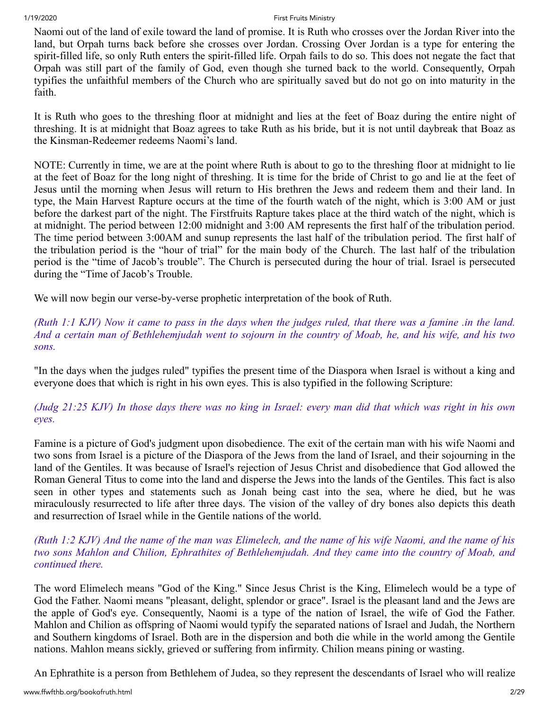Naomi out of the land of exile toward the land of promise. It is Ruth who crosses over the Jordan River into the land, but Orpah turns back before she crosses over Jordan. Crossing Over Jordan is a type for entering the spirit-filled life, so only Ruth enters the spirit-filled life. Orpah fails to do so. This does not negate the fact that Orpah was still part of the family of God, even though she turned back to the world. Consequently, Orpah typifies the unfaithful members of the Church who are spiritually saved but do not go on into maturity in the faith.

It is Ruth who goes to the threshing floor at midnight and lies at the feet of Boaz during the entire night of threshing. It is at midnight that Boaz agrees to take Ruth as his bride, but it is not until daybreak that Boaz as the Kinsman-Redeemer redeems Naomi's land.

NOTE: Currently in time, we are at the point where Ruth is about to go to the threshing floor at midnight to lie at the feet of Boaz for the long night of threshing. It is time for the bride of Christ to go and lie at the feet of Jesus until the morning when Jesus will return to His brethren the Jews and redeem them and their land. In type, the Main Harvest Rapture occurs at the time of the fourth watch of the night, which is 3:00 AM or just before the darkest part of the night. The Firstfruits Rapture takes place at the third watch of the night, which is at midnight. The period between 12:00 midnight and 3:00 AM represents the first half of the tribulation period. The time period between 3:00AM and sunup represents the last half of the tribulation period. The first half of the tribulation period is the "hour of trial" for the main body of the Church. The last half of the tribulation period is the "time of Jacob's trouble". The Church is persecuted during the hour of trial. Israel is persecuted during the "Time of Jacob's Trouble.

We will now begin our verse-by-verse prophetic interpretation of the book of Ruth.

*(Ruth 1:1 KJV) Now it came to pass in the days when the judges ruled, that there was a famine .in the land. And a certain man of Bethlehemjudah went to sojourn in the country of Moab, he, and his wife, and his two sons.*

"In the days when the judges ruled" typifies the present time of the Diaspora when Israel is without a king and everyone does that which is right in his own eyes. This is also typified in the following Scripture:

*(Judg 21:25 KJV) In those days there was no king in Israel: every man did that which was right in his own eyes.* 

Famine is a picture of God's judgment upon disobedience. The exit of the certain man with his wife Naomi and two sons from Israel is a picture of the Diaspora of the Jews from the land of Israel, and their sojourning in the land of the Gentiles. It was because of Israel's rejection of Jesus Christ and disobedience that God allowed the Roman General Titus to come into the land and disperse the Jews into the lands of the Gentiles. This fact is also seen in other types and statements such as Jonah being cast into the sea, where he died, but he was miraculously resurrected to life after three days. The vision of the valley of dry bones also depicts this death and resurrection of Israel while in the Gentile nations of the world.

# *(Ruth 1:2 KJV) And the name of the man was Elimelech, and the name of his wife Naomi, and the name of his two sons Mahlon and Chilion, Ephrathites of Bethlehemjudah. And they came into the country of Moab, and continued there.*

The word Elimelech means "God of the King." Since Jesus Christ is the King, Elimelech would be a type of God the Father. Naomi means "pleasant, delight, splendor or grace". Israel is the pleasant land and the Jews are the apple of God's eye. Consequently, Naomi is a type of the nation of Israel, the wife of God the Father. Mahlon and Chilion as offspring of Naomi would typify the separated nations of Israel and Judah, the Northern and Southern kingdoms of Israel. Both are in the dispersion and both die while in the world among the Gentile nations. Mahlon means sickly, grieved or suffering from infirmity. Chilion means pining or wasting.

An Ephrathite is a person from Bethlehem of Judea, so they represent the descendants of Israel who will realize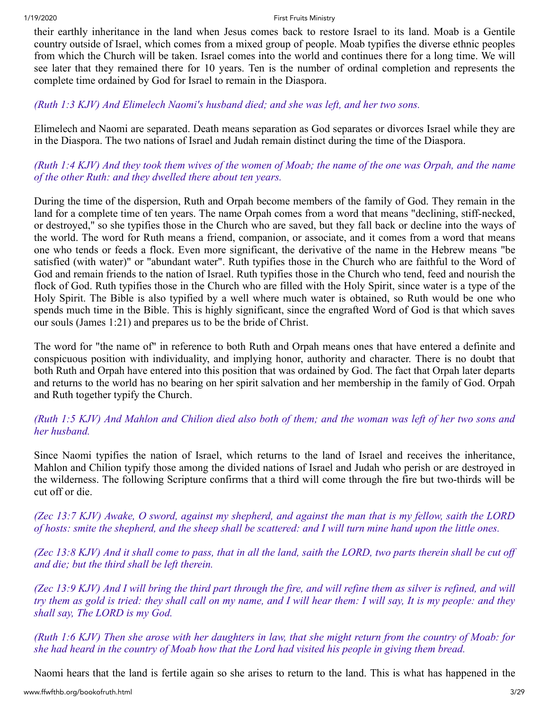their earthly inheritance in the land when Jesus comes back to restore Israel to its land. Moab is a Gentile country outside of Israel, which comes from a mixed group of people. Moab typifies the diverse ethnic peoples from which the Church will be taken. Israel comes into the world and continues there for a long time. We will see later that they remained there for 10 years. Ten is the number of ordinal completion and represents the complete time ordained by God for Israel to remain in the Diaspora.

### *(Ruth 1:3 KJV) And Elimelech Naomi's husband died; and she was left, and her two sons.*

Elimelech and Naomi are separated. Death means separation as God separates or divorces Israel while they are in the Diaspora. The two nations of Israel and Judah remain distinct during the time of the Diaspora.

*(Ruth 1:4 KJV) And they took them wives of the women of Moab; the name of the one was Orpah, and the name of the other Ruth: and they dwelled there about ten years.*

During the time of the dispersion, Ruth and Orpah become members of the family of God. They remain in the land for a complete time of ten years. The name Orpah comes from a word that means "declining, stiff-necked, or destroyed," so she typifies those in the Church who are saved, but they fall back or decline into the ways of the world. The word for Ruth means a friend, companion, or associate, and it comes from a word that means one who tends or feeds a flock. Even more significant, the derivative of the name in the Hebrew means "be satisfied (with water)" or "abundant water". Ruth typifies those in the Church who are faithful to the Word of God and remain friends to the nation of Israel. Ruth typifies those in the Church who tend, feed and nourish the flock of God. Ruth typifies those in the Church who are filled with the Holy Spirit, since water is a type of the Holy Spirit. The Bible is also typified by a well where much water is obtained, so Ruth would be one who spends much time in the Bible. This is highly significant, since the engrafted Word of God is that which saves our souls (James 1:21) and prepares us to be the bride of Christ.

The word for "the name of" in reference to both Ruth and Orpah means ones that have entered a definite and conspicuous position with individuality, and implying honor, authority and character. There is no doubt that both Ruth and Orpah have entered into this position that was ordained by God. The fact that Orpah later departs and returns to the world has no bearing on her spirit salvation and her membership in the family of God. Orpah and Ruth together typify the Church.

# *(Ruth 1:5 KJV) And Mahlon and Chilion died also both of them; and the woman was left of her two sons and her husband.*

Since Naomi typifies the nation of Israel, which returns to the land of Israel and receives the inheritance, Mahlon and Chilion typify those among the divided nations of Israel and Judah who perish or are destroyed in the wilderness. The following Scripture confirms that a third will come through the fire but two-thirds will be cut off or die.

*(Zec 13:7 KJV) Awake, O sword, against my shepherd, and against the man that is my fellow, saith the LORD of hosts: smite the shepherd, and the sheep shall be scattered: and I will turn mine hand upon the little ones.*

*(Zec 13:8 KJV) And it shall come to pass, that in all the land, saith the LORD, two parts therein shall be cut off and die; but the third shall be left therein.*

*(Zec 13:9 KJV) And I will bring the third part through the fire, and will refine them as silver is refined, and will try them as gold is tried: they shall call on my name, and I will hear them: I will say, It is my people: and they shall say, The LORD is my God.*

*(Ruth 1:6 KJV) Then she arose with her daughters in law, that she might return from the country of Moab: for she had heard in the country of Moab how that the Lord had visited his people in giving them bread.* 

Naomi hears that the land is fertile again so she arises to return to the land. This is what has happened in the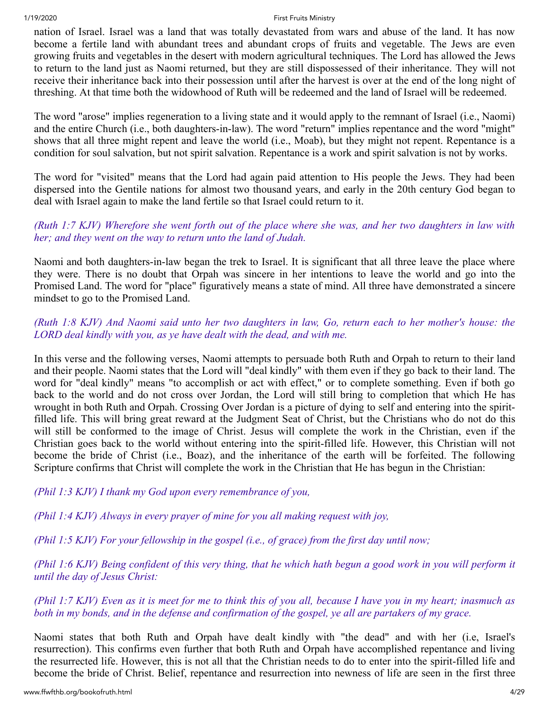nation of Israel. Israel was a land that was totally devastated from wars and abuse of the land. It has now become a fertile land with abundant trees and abundant crops of fruits and vegetable. The Jews are even growing fruits and vegetables in the desert with modern agricultural techniques. The Lord has allowed the Jews to return to the land just as Naomi returned, but they are still dispossessed of their inheritance. They will not receive their inheritance back into their possession until after the harvest is over at the end of the long night of threshing. At that time both the widowhood of Ruth will be redeemed and the land of Israel will be redeemed.

The word "arose" implies regeneration to a living state and it would apply to the remnant of Israel (i.e., Naomi) and the entire Church (i.e., both daughters-in-law). The word "return" implies repentance and the word "might" shows that all three might repent and leave the world (i.e., Moab), but they might not repent. Repentance is a condition for soul salvation, but not spirit salvation. Repentance is a work and spirit salvation is not by works.

The word for "visited" means that the Lord had again paid attention to His people the Jews. They had been dispersed into the Gentile nations for almost two thousand years, and early in the 20th century God began to deal with Israel again to make the land fertile so that Israel could return to it.

# *(Ruth 1:7 KJV) Wherefore she went forth out of the place where she was, and her two daughters in law with her; and they went on the way to return unto the land of Judah.*

Naomi and both daughters-in-law began the trek to Israel. It is significant that all three leave the place where they were. There is no doubt that Orpah was sincere in her intentions to leave the world and go into the Promised Land. The word for "place" figuratively means a state of mind. All three have demonstrated a sincere mindset to go to the Promised Land.

# *(Ruth 1:8 KJV) And Naomi said unto her two daughters in law, Go, return each to her mother's house: the LORD deal kindly with you, as ye have dealt with the dead, and with me.*

In this verse and the following verses, Naomi attempts to persuade both Ruth and Orpah to return to their land and their people. Naomi states that the Lord will "deal kindly" with them even if they go back to their land. The word for "deal kindly" means "to accomplish or act with effect," or to complete something. Even if both go back to the world and do not cross over Jordan, the Lord will still bring to completion that which He has wrought in both Ruth and Orpah. Crossing Over Jordan is a picture of dying to self and entering into the spiritfilled life. This will bring great reward at the Judgment Seat of Christ, but the Christians who do not do this will still be conformed to the image of Christ. Jesus will complete the work in the Christian, even if the Christian goes back to the world without entering into the spirit-filled life. However, this Christian will not become the bride of Christ (i.e., Boaz), and the inheritance of the earth will be forfeited. The following Scripture confirms that Christ will complete the work in the Christian that He has begun in the Christian:

*(Phil 1:3 KJV) I thank my God upon every remembrance of you,*

*(Phil 1:4 KJV) Always in every prayer of mine for you all making request with joy,*

*(Phil 1:5 KJV) For your fellowship in the gospel (i.e., of grace) from the first day until now;*

*(Phil 1:6 KJV) Being confident of this very thing, that he which hath begun a good work in you will perform it until the day of Jesus Christ:*

*(Phil 1:7 KJV) Even as it is meet for me to think this of you all, because I have you in my heart; inasmuch as both in my bonds, and in the defense and confirmation of the gospel, ye all are partakers of my grace.* 

Naomi states that both Ruth and Orpah have dealt kindly with "the dead" and with her (i.e, Israel's resurrection). This confirms even further that both Ruth and Orpah have accomplished repentance and living the resurrected life. However, this is not all that the Christian needs to do to enter into the spirit-filled life and become the bride of Christ. Belief, repentance and resurrection into newness of life are seen in the first three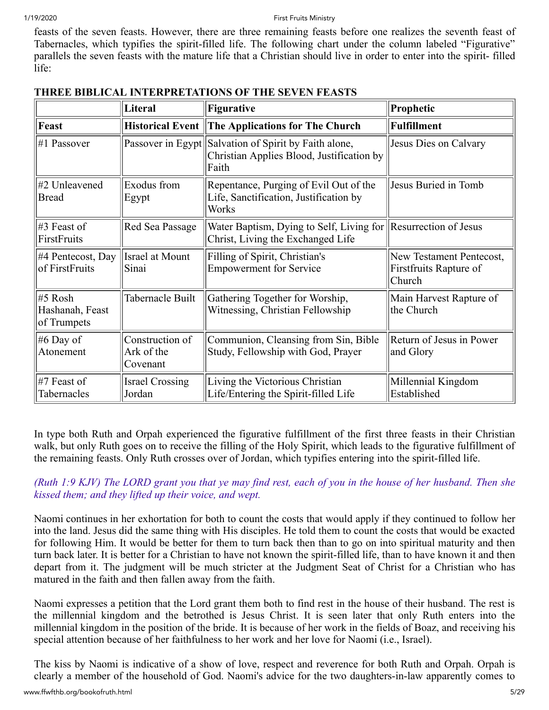feasts of the seven feasts. However, there are three remaining feasts before one realizes the seventh feast of Tabernacles, which typifies the spirit-filled life. The following chart under the column labeled "Figurative" parallels the seven feasts with the mature life that a Christian should live in order to enter into the spirit- filled life:

|                                           | Literal                                   | <b>Figurative</b>                                                                                   | Prophetic                                                    |
|-------------------------------------------|-------------------------------------------|-----------------------------------------------------------------------------------------------------|--------------------------------------------------------------|
| Feast                                     |                                           | Historical Event The Applications for The Church                                                    | <b>Fulfillment</b>                                           |
| #1 Passover                               | Passover in Egypt                         | Salvation of Spirit by Faith alone,<br>Christian Applies Blood, Justification by<br>Faith           | Jesus Dies on Calvary                                        |
| #2 Unleavened<br><b>Bread</b>             | Exodus from<br>Egypt                      | Repentance, Purging of Evil Out of the<br>Life, Sanctification, Justification by<br>Works           | Jesus Buried in Tomb                                         |
| $\sharp 3$ Feast of<br>FirstFruits        | Red Sea Passage                           | Water Baptism, Dying to Self, Living for Resurrection of Jesus<br>Christ, Living the Exchanged Life |                                                              |
| #4 Pentecost, Day<br>of FirstFruits       | Israel at Mount<br>Sinai                  | Filling of Spirit, Christian's<br><b>Empowerment for Service</b>                                    | New Testament Pentecost,<br>Firstfruits Rapture of<br>Church |
| #5 Rosh<br>Hashanah, Feast<br>of Trumpets | Tabernacle Built                          | Gathering Together for Worship,<br>Witnessing, Christian Fellowship                                 | Main Harvest Rapture of<br>the Church                        |
| #6 Day of<br>Atonement                    | Construction of<br>Ark of the<br>Covenant | Communion, Cleansing from Sin, Bible<br>Study, Fellowship with God, Prayer                          | Return of Jesus in Power<br>and Glory                        |
| $\#$ 7 Feast of<br>Tabernacles            | <b>Israel Crossing</b><br>Jordan          | Living the Victorious Christian<br>Life/Entering the Spirit-filled Life                             | Millennial Kingdom<br>Established                            |

# **THREE BIBLICAL INTERPRETATIONS OF THE SEVEN FEASTS**

In type both Ruth and Orpah experienced the figurative fulfillment of the first three feasts in their Christian walk, but only Ruth goes on to receive the filling of the Holy Spirit, which leads to the figurative fulfillment of the remaining feasts. Only Ruth crosses over of Jordan, which typifies entering into the spirit-filled life.

*(Ruth 1:9 KJV) The LORD grant you that ye may find rest, each of you in the house of her husband. Then she kissed them; and they lifted up their voice, and wept.*

Naomi continues in her exhortation for both to count the costs that would apply if they continued to follow her into the land. Jesus did the same thing with His disciples. He told them to count the costs that would be exacted for following Him. It would be better for them to turn back then than to go on into spiritual maturity and then turn back later. It is better for a Christian to have not known the spirit-filled life, than to have known it and then depart from it. The judgment will be much stricter at the Judgment Seat of Christ for a Christian who has matured in the faith and then fallen away from the faith.

Naomi expresses a petition that the Lord grant them both to find rest in the house of their husband. The rest is the millennial kingdom and the betrothed is Jesus Christ. It is seen later that only Ruth enters into the millennial kingdom in the position of the bride. It is because of her work in the fields of Boaz, and receiving his special attention because of her faithfulness to her work and her love for Naomi (i.e., Israel).

The kiss by Naomi is indicative of a show of love, respect and reverence for both Ruth and Orpah. Orpah is clearly a member of the household of God. Naomi's advice for the two daughters-in-law apparently comes to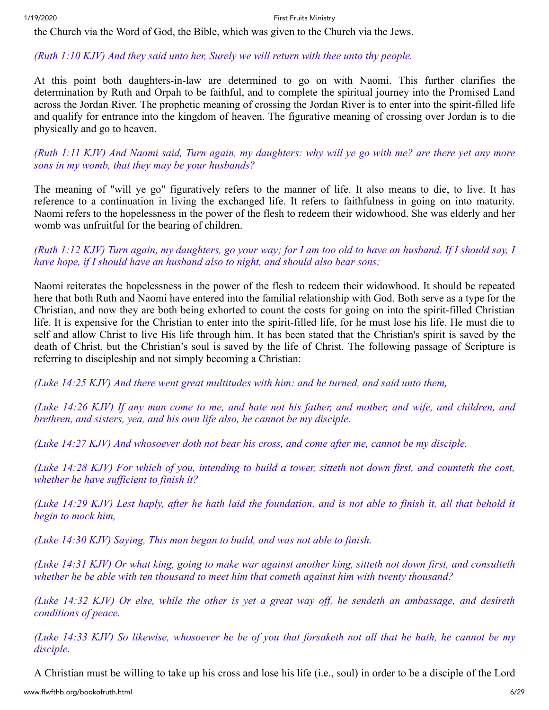the Church via the Word of God, the Bible, which was given to the Church via the Jews.

# *(Ruth 1:10 KJV) And they said unto her, Surely we will return with thee unto thy people.*

At this point both daughters-in-law are determined to go on with Naomi. This further clarifies the determination by Ruth and Orpah to be faithful, and to complete the spiritual journey into the Promised Land across the Jordan River. The prophetic meaning of crossing the Jordan River is to enter into the spirit-filled life and qualify for entrance into the kingdom of heaven. The figurative meaning of crossing over Jordan is to die physically and go to heaven.

*(Ruth 1:11 KJV) And Naomi said, Turn again, my daughters: why will ye go with me? are there yet any more sons in my womb, that they may be your husbands?*

The meaning of "will ye go" figuratively refers to the manner of life. It also means to die, to live. It has reference to a continuation in living the exchanged life. It refers to faithfulness in going on into maturity. Naomi refers to the hopelessness in the power of the flesh to redeem their widowhood. She was elderly and her womb was unfruitful for the bearing of children.

# *(Ruth 1:12 KJV) Turn again, my daughters, go your way; for I am too old to have an husband. If I should say, I have hope, if I should have an husband also to night, and should also bear sons;*

Naomi reiterates the hopelessness in the power of the flesh to redeem their widowhood. It should be repeated here that both Ruth and Naomi have entered into the familial relationship with God. Both serve as a type for the Christian, and now they are both being exhorted to count the costs for going on into the spirit-filled Christian life. It is expensive for the Christian to enter into the spirit-filled life, for he must lose his life. He must die to self and allow Christ to live His life through him. It has been stated that the Christian's spirit is saved by the death of Christ, but the Christian's soul is saved by the life of Christ. The following passage of Scripture is referring to discipleship and not simply becoming a Christian:

*(Luke 14:25 KJV) And there went great multitudes with him: and he turned, and said unto them,*

*(Luke 14:26 KJV) If any man come to me, and hate not his father, and mother, and wife, and children, and brethren, and sisters, yea, and his own life also, he cannot be my disciple.*

*(Luke 14:27 KJV) And whosoever doth not bear his cross, and come after me, cannot be my disciple.*

*(Luke 14:28 KJV) For which of you, intending to build a tower, sitteth not down first, and counteth the cost, whether he have sufficient to finish it?*

*(Luke 14:29 KJV) Lest haply, after he hath laid the foundation, and is not able to finish it, all that behold it begin to mock him,*

*(Luke 14:30 KJV) Saying, This man began to build, and was not able to finish.*

*(Luke 14:31 KJV) Or what king, going to make war against another king, sitteth not down first, and consulteth whether he be able with ten thousand to meet him that cometh against him with twenty thousand?*

*(Luke 14:32 KJV) Or else, while the other is yet a great way off, he sendeth an ambassage, and desireth conditions of peace.*

*(Luke 14:33 KJV) So likewise, whosoever he be of you that forsaketh not all that he hath, he cannot be my disciple.*

A Christian must be willing to take up his cross and lose his life (i.e., soul) in order to be a disciple of the Lord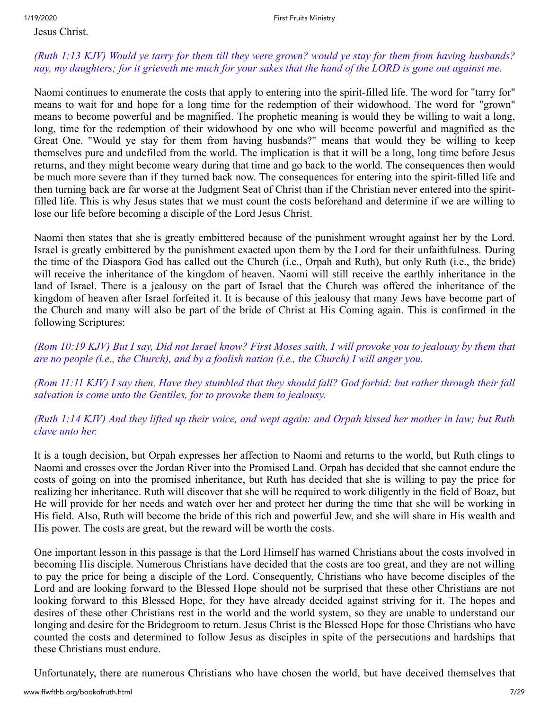### Jesus Christ.

# *(Ruth 1:13 KJV) Would ye tarry for them till they were grown? would ye stay for them from having husbands? nay, my daughters; for it grieveth me much for your sakes that the hand of the LORD is gone out against me.*

Naomi continues to enumerate the costs that apply to entering into the spirit-filled life. The word for "tarry for" means to wait for and hope for a long time for the redemption of their widowhood. The word for "grown" means to become powerful and be magnified. The prophetic meaning is would they be willing to wait a long, long, time for the redemption of their widowhood by one who will become powerful and magnified as the Great One. "Would ye stay for them from having husbands?" means that would they be willing to keep themselves pure and undefiled from the world. The implication is that it will be a long, long time before Jesus returns, and they might become weary during that time and go back to the world. The consequences then would be much more severe than if they turned back now. The consequences for entering into the spirit-filled life and then turning back are far worse at the Judgment Seat of Christ than if the Christian never entered into the spiritfilled life. This is why Jesus states that we must count the costs beforehand and determine if we are willing to lose our life before becoming a disciple of the Lord Jesus Christ.

Naomi then states that she is greatly embittered because of the punishment wrought against her by the Lord. Israel is greatly embittered by the punishment exacted upon them by the Lord for their unfaithfulness. During the time of the Diaspora God has called out the Church (i.e., Orpah and Ruth), but only Ruth (i.e., the bride) will receive the inheritance of the kingdom of heaven. Naomi will still receive the earthly inheritance in the land of Israel. There is a jealousy on the part of Israel that the Church was offered the inheritance of the kingdom of heaven after Israel forfeited it. It is because of this jealousy that many Jews have become part of the Church and many will also be part of the bride of Christ at His Coming again. This is confirmed in the following Scriptures:

*(Rom 10:19 KJV) But I say, Did not Israel know? First Moses saith, I will provoke you to jealousy by them that are no people (i.e., the Church), and by a foolish nation (i.e., the Church) I will anger you.*

*(Rom 11:11 KJV) I say then, Have they stumbled that they should fall? God forbid: but rather through their fall salvation is come unto the Gentiles, for to provoke them to jealousy.*

# *(Ruth 1:14 KJV) And they lifted up their voice, and wept again: and Orpah kissed her mother in law; but Ruth clave unto her.*

It is a tough decision, but Orpah expresses her affection to Naomi and returns to the world, but Ruth clings to Naomi and crosses over the Jordan River into the Promised Land. Orpah has decided that she cannot endure the costs of going on into the promised inheritance, but Ruth has decided that she is willing to pay the price for realizing her inheritance. Ruth will discover that she will be required to work diligently in the field of Boaz, but He will provide for her needs and watch over her and protect her during the time that she will be working in His field. Also, Ruth will become the bride of this rich and powerful Jew, and she will share in His wealth and His power. The costs are great, but the reward will be worth the costs.

One important lesson in this passage is that the Lord Himself has warned Christians about the costs involved in becoming His disciple. Numerous Christians have decided that the costs are too great, and they are not willing to pay the price for being a disciple of the Lord. Consequently, Christians who have become disciples of the Lord and are looking forward to the Blessed Hope should not be surprised that these other Christians are not looking forward to this Blessed Hope, for they have already decided against striving for it. The hopes and desires of these other Christians rest in the world and the world system, so they are unable to understand our longing and desire for the Bridegroom to return. Jesus Christ is the Blessed Hope for those Christians who have counted the costs and determined to follow Jesus as disciples in spite of the persecutions and hardships that these Christians must endure.

Unfortunately, there are numerous Christians who have chosen the world, but have deceived themselves that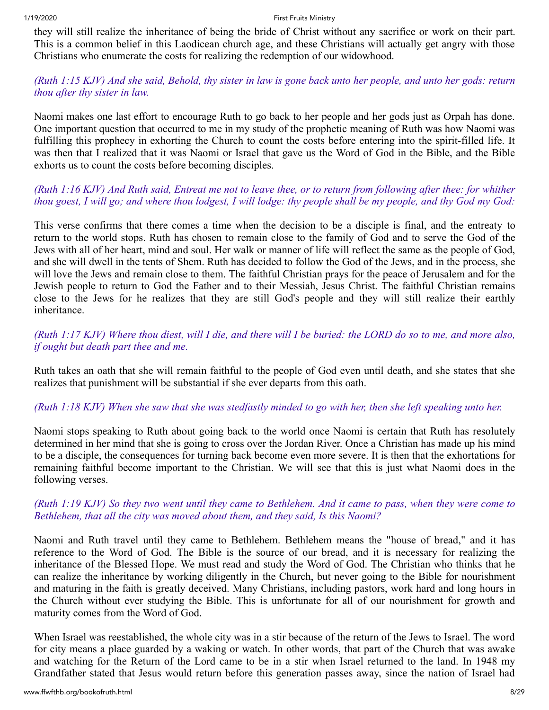they will still realize the inheritance of being the bride of Christ without any sacrifice or work on their part. This is a common belief in this Laodicean church age, and these Christians will actually get angry with those Christians who enumerate the costs for realizing the redemption of our widowhood.

# *(Ruth 1:15 KJV) And she said, Behold, thy sister in law is gone back unto her people, and unto her gods: return thou after thy sister in law.*

Naomi makes one last effort to encourage Ruth to go back to her people and her gods just as Orpah has done. One important question that occurred to me in my study of the prophetic meaning of Ruth was how Naomi was fulfilling this prophecy in exhorting the Church to count the costs before entering into the spirit-filled life. It was then that I realized that it was Naomi or Israel that gave us the Word of God in the Bible, and the Bible exhorts us to count the costs before becoming disciples.

# *(Ruth 1:16 KJV) And Ruth said, Entreat me not to leave thee, or to return from following after thee: for whither thou goest, I will go; and where thou lodgest, I will lodge: thy people shall be my people, and thy God my God:*

This verse confirms that there comes a time when the decision to be a disciple is final, and the entreaty to return to the world stops. Ruth has chosen to remain close to the family of God and to serve the God of the Jews with all of her heart, mind and soul. Her walk or manner of life will reflect the same as the people of God, and she will dwell in the tents of Shem. Ruth has decided to follow the God of the Jews, and in the process, she will love the Jews and remain close to them. The faithful Christian prays for the peace of Jerusalem and for the Jewish people to return to God the Father and to their Messiah, Jesus Christ. The faithful Christian remains close to the Jews for he realizes that they are still God's people and they will still realize their earthly inheritance.

# *(Ruth 1:17 KJV) Where thou diest, will I die, and there will I be buried: the LORD do so to me, and more also, if ought but death part thee and me.*

Ruth takes an oath that she will remain faithful to the people of God even until death, and she states that she realizes that punishment will be substantial if she ever departs from this oath.

#### *(Ruth 1:18 KJV) When she saw that she was stedfastly minded to go with her, then she left speaking unto her.*

Naomi stops speaking to Ruth about going back to the world once Naomi is certain that Ruth has resolutely determined in her mind that she is going to cross over the Jordan River. Once a Christian has made up his mind to be a disciple, the consequences for turning back become even more severe. It is then that the exhortations for remaining faithful become important to the Christian. We will see that this is just what Naomi does in the following verses.

#### *(Ruth 1:19 KJV) So they two went until they came to Bethlehem. And it came to pass, when they were come to Bethlehem, that all the city was moved about them, and they said, Is this Naomi?*

Naomi and Ruth travel until they came to Bethlehem. Bethlehem means the "house of bread," and it has reference to the Word of God. The Bible is the source of our bread, and it is necessary for realizing the inheritance of the Blessed Hope. We must read and study the Word of God. The Christian who thinks that he can realize the inheritance by working diligently in the Church, but never going to the Bible for nourishment and maturing in the faith is greatly deceived. Many Christians, including pastors, work hard and long hours in the Church without ever studying the Bible. This is unfortunate for all of our nourishment for growth and maturity comes from the Word of God.

When Israel was reestablished, the whole city was in a stir because of the return of the Jews to Israel. The word for city means a place guarded by a waking or watch. In other words, that part of the Church that was awake and watching for the Return of the Lord came to be in a stir when Israel returned to the land. In 1948 my Grandfather stated that Jesus would return before this generation passes away, since the nation of Israel had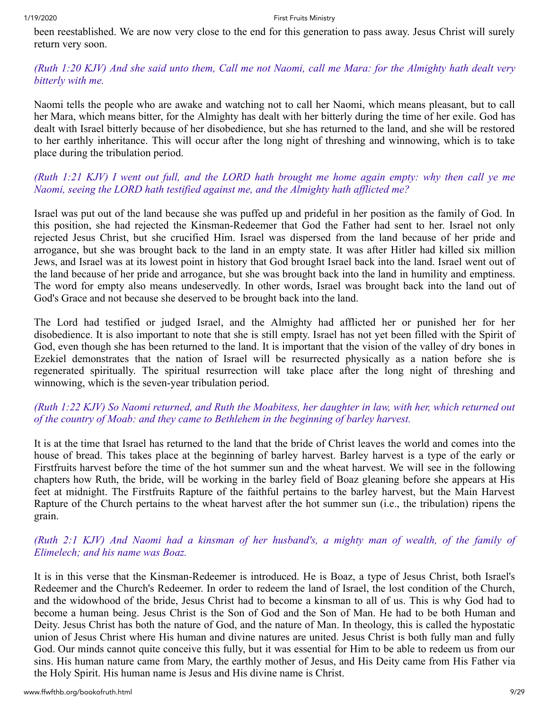been reestablished. We are now very close to the end for this generation to pass away. Jesus Christ will surely return very soon.

# *(Ruth 1:20 KJV) And she said unto them, Call me not Naomi, call me Mara: for the Almighty hath dealt very bitterly with me.*

Naomi tells the people who are awake and watching not to call her Naomi, which means pleasant, but to call her Mara, which means bitter, for the Almighty has dealt with her bitterly during the time of her exile. God has dealt with Israel bitterly because of her disobedience, but she has returned to the land, and she will be restored to her earthly inheritance. This will occur after the long night of threshing and winnowing, which is to take place during the tribulation period.

# *(Ruth 1:21 KJV) I went out full, and the LORD hath brought me home again empty: why then call ye me Naomi, seeing the LORD hath testified against me, and the Almighty hath afflicted me?*

Israel was put out of the land because she was puffed up and prideful in her position as the family of God. In this position, she had rejected the Kinsman-Redeemer that God the Father had sent to her. Israel not only rejected Jesus Christ, but she crucified Him. Israel was dispersed from the land because of her pride and arrogance, but she was brought back to the land in an empty state. It was after Hitler had killed six million Jews, and Israel was at its lowest point in history that God brought Israel back into the land. Israel went out of the land because of her pride and arrogance, but she was brought back into the land in humility and emptiness. The word for empty also means undeservedly. In other words, Israel was brought back into the land out of God's Grace and not because she deserved to be brought back into the land.

The Lord had testified or judged Israel, and the Almighty had afflicted her or punished her for her disobedience. It is also important to note that she is still empty. Israel has not yet been filled with the Spirit of God, even though she has been returned to the land. It is important that the vision of the valley of dry bones in Ezekiel demonstrates that the nation of Israel will be resurrected physically as a nation before she is regenerated spiritually. The spiritual resurrection will take place after the long night of threshing and winnowing, which is the seven-year tribulation period.

# *(Ruth 1:22 KJV) So Naomi returned, and Ruth the Moabitess, her daughter in law, with her, which returned out of the country of Moab: and they came to Bethlehem in the beginning of barley harvest.*

It is at the time that Israel has returned to the land that the bride of Christ leaves the world and comes into the house of bread. This takes place at the beginning of barley harvest. Barley harvest is a type of the early or Firstfruits harvest before the time of the hot summer sun and the wheat harvest. We will see in the following chapters how Ruth, the bride, will be working in the barley field of Boaz gleaning before she appears at His feet at midnight. The Firstfruits Rapture of the faithful pertains to the barley harvest, but the Main Harvest Rapture of the Church pertains to the wheat harvest after the hot summer sun (i.e., the tribulation) ripens the grain.

# *(Ruth 2:1 KJV) And Naomi had a kinsman of her husband's, a mighty man of wealth, of the family of Elimelech; and his name was Boaz.*

It is in this verse that the Kinsman-Redeemer is introduced. He is Boaz, a type of Jesus Christ, both Israel's Redeemer and the Church's Redeemer. In order to redeem the land of Israel, the lost condition of the Church, and the widowhood of the bride, Jesus Christ had to become a kinsman to all of us. This is why God had to become a human being. Jesus Christ is the Son of God and the Son of Man. He had to be both Human and Deity. Jesus Christ has both the nature of God, and the nature of Man. In theology, this is called the hypostatic union of Jesus Christ where His human and divine natures are united. Jesus Christ is both fully man and fully God. Our minds cannot quite conceive this fully, but it was essential for Him to be able to redeem us from our sins. His human nature came from Mary, the earthly mother of Jesus, and His Deity came from His Father via the Holy Spirit. His human name is Jesus and His divine name is Christ.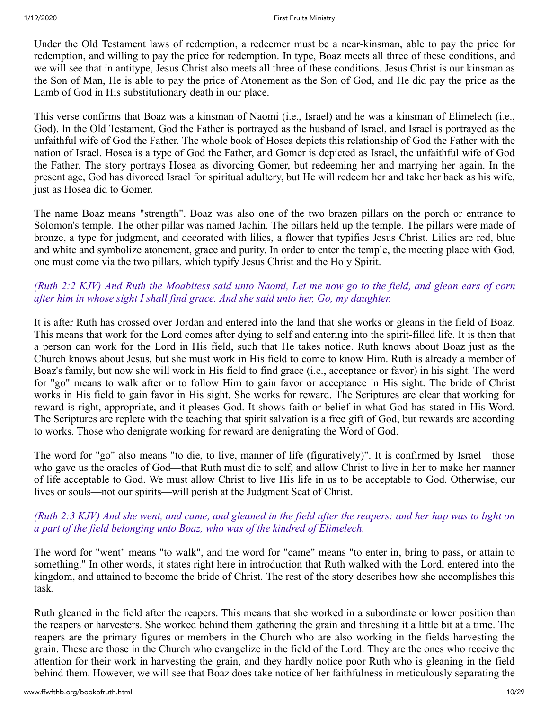Under the Old Testament laws of redemption, a redeemer must be a near-kinsman, able to pay the price for redemption, and willing to pay the price for redemption. In type, Boaz meets all three of these conditions, and we will see that in antitype, Jesus Christ also meets all three of these conditions. Jesus Christ is our kinsman as the Son of Man, He is able to pay the price of Atonement as the Son of God, and He did pay the price as the Lamb of God in His substitutionary death in our place.

This verse confirms that Boaz was a kinsman of Naomi (i.e., Israel) and he was a kinsman of Elimelech (i.e., God). In the Old Testament, God the Father is portrayed as the husband of Israel, and Israel is portrayed as the unfaithful wife of God the Father. The whole book of Hosea depicts this relationship of God the Father with the nation of Israel. Hosea is a type of God the Father, and Gomer is depicted as Israel, the unfaithful wife of God the Father. The story portrays Hosea as divorcing Gomer, but redeeming her and marrying her again. In the present age, God has divorced Israel for spiritual adultery, but He will redeem her and take her back as his wife, just as Hosea did to Gomer.

The name Boaz means "strength". Boaz was also one of the two brazen pillars on the porch or entrance to Solomon's temple. The other pillar was named Jachin. The pillars held up the temple. The pillars were made of bronze, a type for judgment, and decorated with lilies, a flower that typifies Jesus Christ. Lilies are red, blue and white and symbolize atonement, grace and purity. In order to enter the temple, the meeting place with God, one must come via the two pillars, which typify Jesus Christ and the Holy Spirit.

# *(Ruth 2:2 KJV) And Ruth the Moabitess said unto Naomi, Let me now go to the field, and glean ears of corn after him in whose sight I shall find grace. And she said unto her, Go, my daughter.*

It is after Ruth has crossed over Jordan and entered into the land that she works or gleans in the field of Boaz. This means that work for the Lord comes after dying to self and entering into the spirit-filled life. It is then that a person can work for the Lord in His field, such that He takes notice. Ruth knows about Boaz just as the Church knows about Jesus, but she must work in His field to come to know Him. Ruth is already a member of Boaz's family, but now she will work in His field to find grace (i.e., acceptance or favor) in his sight. The word for "go" means to walk after or to follow Him to gain favor or acceptance in His sight. The bride of Christ works in His field to gain favor in His sight. She works for reward. The Scriptures are clear that working for reward is right, appropriate, and it pleases God. It shows faith or belief in what God has stated in His Word. The Scriptures are replete with the teaching that spirit salvation is a free gift of God, but rewards are according to works. Those who denigrate working for reward are denigrating the Word of God.

The word for "go" also means "to die, to live, manner of life (figuratively)". It is confirmed by Israel—those who gave us the oracles of God—that Ruth must die to self, and allow Christ to live in her to make her manner of life acceptable to God. We must allow Christ to live His life in us to be acceptable to God. Otherwise, our lives or souls—not our spirits—will perish at the Judgment Seat of Christ.

# *(Ruth 2:3 KJV) And she went, and came, and gleaned in the field after the reapers: and her hap was to light on a part of the field belonging unto Boaz, who was of the kindred of Elimelech.*

The word for "went" means "to walk", and the word for "came" means "to enter in, bring to pass, or attain to something." In other words, it states right here in introduction that Ruth walked with the Lord, entered into the kingdom, and attained to become the bride of Christ. The rest of the story describes how she accomplishes this task.

Ruth gleaned in the field after the reapers. This means that she worked in a subordinate or lower position than the reapers or harvesters. She worked behind them gathering the grain and threshing it a little bit at a time. The reapers are the primary figures or members in the Church who are also working in the fields harvesting the grain. These are those in the Church who evangelize in the field of the Lord. They are the ones who receive the attention for their work in harvesting the grain, and they hardly notice poor Ruth who is gleaning in the field behind them. However, we will see that Boaz does take notice of her faithfulness in meticulously separating the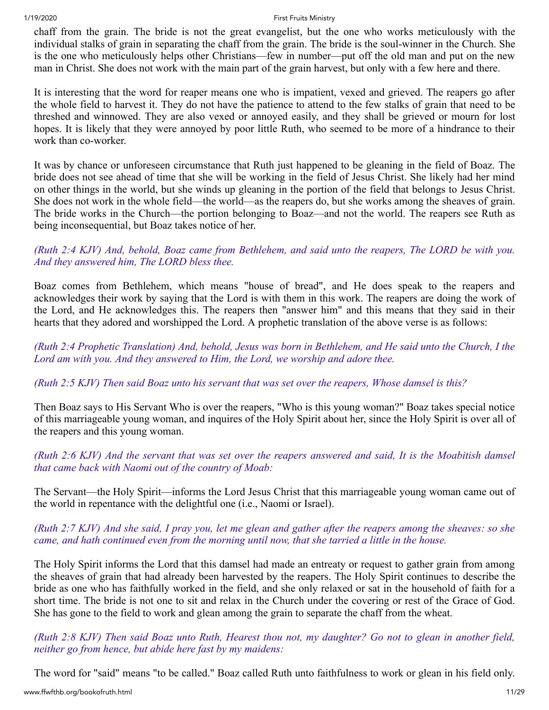chaff from the grain. The bride is not the great evangelist, but the one who works meticulously with the individual stalks of grain in separating the chaff from the grain. The bride is the soul-winner in the Church. She is the one who meticulously helps other Christians—few in number—put off the old man and put on the new man in Christ. She does not work with the main part of the grain harvest, but only with a few here and there.

It is interesting that the word for reaper means one who is impatient, vexed and grieved. The reapers go after the whole field to harvest it. They do not have the patience to attend to the few stalks of grain that need to be threshed and winnowed. They are also vexed or annoyed easily, and they shall be grieved or mourn for lost hopes. It is likely that they were annoyed by poor little Ruth, who seemed to be more of a hindrance to their work than co-worker.

It was by chance or unforeseen circumstance that Ruth just happened to be gleaning in the field of Boaz. The bride does not see ahead of time that she will be working in the field of Jesus Christ. She likely had her mind on other things in the world, but she winds up gleaning in the portion of the field that belongs to Jesus Christ. She does not work in the whole field—the world—as the reapers do, but she works among the sheaves of grain. The bride works in the Church—the portion belonging to Boaz—and not the world. The reapers see Ruth as being inconsequential, but Boaz takes notice of her.

# *(Ruth 2:4 KJV) And, behold, Boaz came from Bethlehem, and said unto the reapers, The LORD be with you. And they answered him, The LORD bless thee.*

Boaz comes from Bethlehem, which means "house of bread", and He does speak to the reapers and acknowledges their work by saying that the Lord is with them in this work. The reapers are doing the work of the Lord, and He acknowledges this. The reapers then "answer him" and this means that they said in their hearts that they adored and worshipped the Lord. A prophetic translation of the above verse is as follows:

*(Ruth 2:4 Prophetic Translation) And, behold, Jesus was born in Bethlehem, and He said unto the Church, I the Lord am with you. And they answered to Him, the Lord, we worship and adore thee.*

*(Ruth 2:5 KJV) Then said Boaz unto his servant that was set over the reapers, Whose damsel is this?* 

Then Boaz says to His Servant Who is over the reapers, "Who is this young woman?" Boaz takes special notice of this marriageable young woman, and inquires of the Holy Spirit about her, since the Holy Spirit is over all of the reapers and this young woman.

# *(Ruth 2:6 KJV) And the servant that was set over the reapers answered and said, It is the Moabitish damsel that came back with Naomi out of the country of Moab:*

The Servant—the Holy Spirit—informs the Lord Jesus Christ that this marriageable young woman came out of the world in repentance with the delightful one (i.e., Naomi or Israel).

# *(Ruth 2:7 KJV) And she said, I pray you, let me glean and gather after the reapers among the sheaves: so she came, and hath continued even from the morning until now, that she tarried a little in the house.*

The Holy Spirit informs the Lord that this damsel had made an entreaty or request to gather grain from among the sheaves of grain that had already been harvested by the reapers. The Holy Spirit continues to describe the bride as one who has faithfully worked in the field, and she only relaxed or sat in the household of faith for a short time. The bride is not one to sit and relax in the Church under the covering or rest of the Grace of God. She has gone to the field to work and glean among the grain to separate the chaff from the wheat.

*(Ruth 2:8 KJV) Then said Boaz unto Ruth, Hearest thou not, my daughter? Go not to glean in another field, neither go from hence, but abide here fast by my maidens:*

The word for "said" means "to be called." Boaz called Ruth unto faithfulness to work or glean in his field only.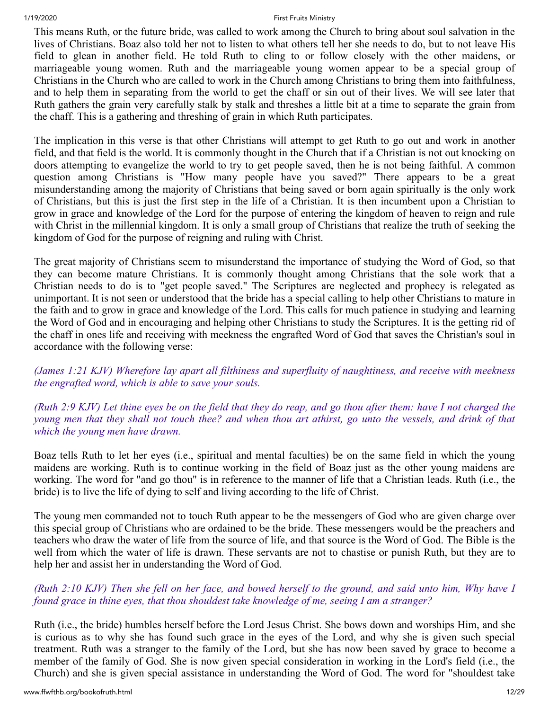This means Ruth, or the future bride, was called to work among the Church to bring about soul salvation in the lives of Christians. Boaz also told her not to listen to what others tell her she needs to do, but to not leave His field to glean in another field. He told Ruth to cling to or follow closely with the other maidens, or marriageable young women. Ruth and the marriageable young women appear to be a special group of Christians in the Church who are called to work in the Church among Christians to bring them into faithfulness, and to help them in separating from the world to get the chaff or sin out of their lives. We will see later that Ruth gathers the grain very carefully stalk by stalk and threshes a little bit at a time to separate the grain from the chaff. This is a gathering and threshing of grain in which Ruth participates.

The implication in this verse is that other Christians will attempt to get Ruth to go out and work in another field, and that field is the world. It is commonly thought in the Church that if a Christian is not out knocking on doors attempting to evangelize the world to try to get people saved, then he is not being faithful. A common question among Christians is "How many people have you saved?" There appears to be a great misunderstanding among the majority of Christians that being saved or born again spiritually is the only work of Christians, but this is just the first step in the life of a Christian. It is then incumbent upon a Christian to grow in grace and knowledge of the Lord for the purpose of entering the kingdom of heaven to reign and rule with Christ in the millennial kingdom. It is only a small group of Christians that realize the truth of seeking the kingdom of God for the purpose of reigning and ruling with Christ.

The great majority of Christians seem to misunderstand the importance of studying the Word of God, so that they can become mature Christians. It is commonly thought among Christians that the sole work that a Christian needs to do is to "get people saved." The Scriptures are neglected and prophecy is relegated as unimportant. It is not seen or understood that the bride has a special calling to help other Christians to mature in the faith and to grow in grace and knowledge of the Lord. This calls for much patience in studying and learning the Word of God and in encouraging and helping other Christians to study the Scriptures. It is the getting rid of the chaff in ones life and receiving with meekness the engrafted Word of God that saves the Christian's soul in accordance with the following verse:

*(James 1:21 KJV) Wherefore lay apart all filthiness and superfluity of naughtiness, and receive with meekness the engrafted word, which is able to save your souls.* 

*(Ruth 2:9 KJV) Let thine eyes be on the field that they do reap, and go thou after them: have I not charged the young men that they shall not touch thee? and when thou art athirst, go unto the vessels, and drink of that which the young men have drawn.* 

Boaz tells Ruth to let her eyes (i.e., spiritual and mental faculties) be on the same field in which the young maidens are working. Ruth is to continue working in the field of Boaz just as the other young maidens are working. The word for "and go thou" is in reference to the manner of life that a Christian leads. Ruth (i.e., the bride) is to live the life of dying to self and living according to the life of Christ.

The young men commanded not to touch Ruth appear to be the messengers of God who are given charge over this special group of Christians who are ordained to be the bride. These messengers would be the preachers and teachers who draw the water of life from the source of life, and that source is the Word of God. The Bible is the well from which the water of life is drawn. These servants are not to chastise or punish Ruth, but they are to help her and assist her in understanding the Word of God.

# *(Ruth 2:10 KJV) Then she fell on her face, and bowed herself to the ground, and said unto him, Why have I found grace in thine eyes, that thou shouldest take knowledge of me, seeing I am a stranger?*

Ruth (i.e., the bride) humbles herself before the Lord Jesus Christ. She bows down and worships Him, and she is curious as to why she has found such grace in the eyes of the Lord, and why she is given such special treatment. Ruth was a stranger to the family of the Lord, but she has now been saved by grace to become a member of the family of God. She is now given special consideration in working in the Lord's field (i.e., the Church) and she is given special assistance in understanding the Word of God. The word for "shouldest take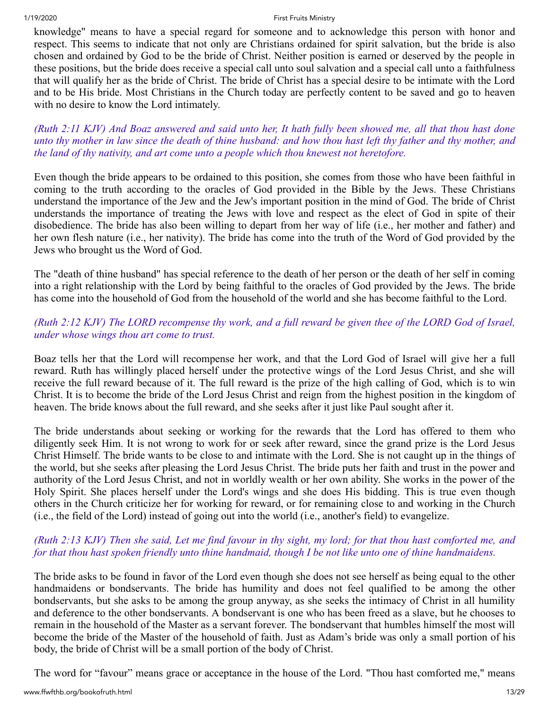knowledge" means to have a special regard for someone and to acknowledge this person with honor and respect. This seems to indicate that not only are Christians ordained for spirit salvation, but the bride is also chosen and ordained by God to be the bride of Christ. Neither position is earned or deserved by the people in these positions, but the bride does receive a special call unto soul salvation and a special call unto a faithfulness that will qualify her as the bride of Christ. The bride of Christ has a special desire to be intimate with the Lord and to be His bride. Most Christians in the Church today are perfectly content to be saved and go to heaven with no desire to know the Lord intimately.

*(Ruth 2:11 KJV) And Boaz answered and said unto her, It hath fully been showed me, all that thou hast done unto thy mother in law since the death of thine husband: and how thou hast left thy father and thy mother, and the land of thy nativity, and art come unto a people which thou knewest not heretofore.* 

Even though the bride appears to be ordained to this position, she comes from those who have been faithful in coming to the truth according to the oracles of God provided in the Bible by the Jews. These Christians understand the importance of the Jew and the Jew's important position in the mind of God. The bride of Christ understands the importance of treating the Jews with love and respect as the elect of God in spite of their disobedience. The bride has also been willing to depart from her way of life (i.e., her mother and father) and her own flesh nature (i.e., her nativity). The bride has come into the truth of the Word of God provided by the Jews who brought us the Word of God.

The "death of thine husband" has special reference to the death of her person or the death of her self in coming into a right relationship with the Lord by being faithful to the oracles of God provided by the Jews. The bride has come into the household of God from the household of the world and she has become faithful to the Lord.

# *(Ruth 2:12 KJV) The LORD recompense thy work, and a full reward be given thee of the LORD God of Israel, under whose wings thou art come to trust.*

Boaz tells her that the Lord will recompense her work, and that the Lord God of Israel will give her a full reward. Ruth has willingly placed herself under the protective wings of the Lord Jesus Christ, and she will receive the full reward because of it. The full reward is the prize of the high calling of God, which is to win Christ. It is to become the bride of the Lord Jesus Christ and reign from the highest position in the kingdom of heaven. The bride knows about the full reward, and she seeks after it just like Paul sought after it.

The bride understands about seeking or working for the rewards that the Lord has offered to them who diligently seek Him. It is not wrong to work for or seek after reward, since the grand prize is the Lord Jesus Christ Himself. The bride wants to be close to and intimate with the Lord. She is not caught up in the things of the world, but she seeks after pleasing the Lord Jesus Christ. The bride puts her faith and trust in the power and authority of the Lord Jesus Christ, and not in worldly wealth or her own ability. She works in the power of the Holy Spirit. She places herself under the Lord's wings and she does His bidding. This is true even though others in the Church criticize her for working for reward, or for remaining close to and working in the Church (i.e., the field of the Lord) instead of going out into the world (i.e., another's field) to evangelize.

# *(Ruth 2:13 KJV) Then she said, Let me find favour in thy sight, my lord; for that thou hast comforted me, and for that thou hast spoken friendly unto thine handmaid, though I be not like unto one of thine handmaidens.*

The bride asks to be found in favor of the Lord even though she does not see herself as being equal to the other handmaidens or bondservants. The bride has humility and does not feel qualified to be among the other bondservants, but she asks to be among the group anyway, as she seeks the intimacy of Christ in all humility and deference to the other bondservants. A bondservant is one who has been freed as a slave, but he chooses to remain in the household of the Master as a servant forever. The bondservant that humbles himself the most will become the bride of the Master of the household of faith. Just as Adam's bride was only a small portion of his body, the bride of Christ will be a small portion of the body of Christ.

The word for "favour" means grace or acceptance in the house of the Lord. "Thou hast comforted me," means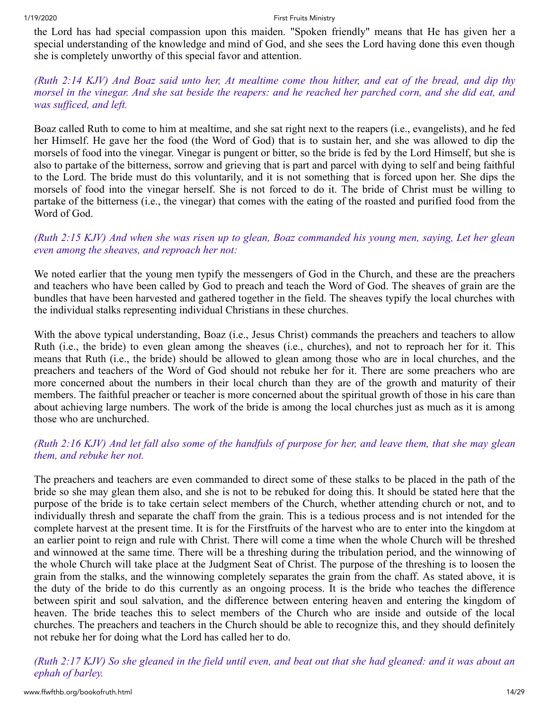the Lord has had special compassion upon this maiden. "Spoken friendly" means that He has given her a special understanding of the knowledge and mind of God, and she sees the Lord having done this even though she is completely unworthy of this special favor and attention.

### *(Ruth 2:14 KJV) And Boaz said unto her, At mealtime come thou hither, and eat of the bread, and dip thy morsel in the vinegar. And she sat beside the reapers: and he reached her parched corn, and she did eat, and was sufficed, and left.*

Boaz called Ruth to come to him at mealtime, and she sat right next to the reapers (i.e., evangelists), and he fed her Himself. He gave her the food (the Word of God) that is to sustain her, and she was allowed to dip the morsels of food into the vinegar. Vinegar is pungent or bitter, so the bride is fed by the Lord Himself, but she is also to partake of the bitterness, sorrow and grieving that is part and parcel with dying to self and being faithful to the Lord. The bride must do this voluntarily, and it is not something that is forced upon her. She dips the morsels of food into the vinegar herself. She is not forced to do it. The bride of Christ must be willing to partake of the bitterness (i.e., the vinegar) that comes with the eating of the roasted and purified food from the Word of God.

# *(Ruth 2:15 KJV) And when she was risen up to glean, Boaz commanded his young men, saying, Let her glean even among the sheaves, and reproach her not:*

We noted earlier that the young men typify the messengers of God in the Church, and these are the preachers and teachers who have been called by God to preach and teach the Word of God. The sheaves of grain are the bundles that have been harvested and gathered together in the field. The sheaves typify the local churches with the individual stalks representing individual Christians in these churches.

With the above typical understanding, Boaz (i.e., Jesus Christ) commands the preachers and teachers to allow Ruth (i.e., the bride) to even glean among the sheaves (i.e., churches), and not to reproach her for it. This means that Ruth (i.e., the bride) should be allowed to glean among those who are in local churches, and the preachers and teachers of the Word of God should not rebuke her for it. There are some preachers who are more concerned about the numbers in their local church than they are of the growth and maturity of their members. The faithful preacher or teacher is more concerned about the spiritual growth of those in his care than about achieving large numbers. The work of the bride is among the local churches just as much as it is among those who are unchurched.

# *(Ruth 2:16 KJV) And let fall also some of the handfuls of purpose for her, and leave them, that she may glean them, and rebuke her not.*

The preachers and teachers are even commanded to direct some of these stalks to be placed in the path of the bride so she may glean them also, and she is not to be rebuked for doing this. It should be stated here that the purpose of the bride is to take certain select members of the Church, whether attending church or not, and to individually thresh and separate the chaff from the grain. This is a tedious process and is not intended for the complete harvest at the present time. It is for the Firstfruits of the harvest who are to enter into the kingdom at an earlier point to reign and rule with Christ. There will come a time when the whole Church will be threshed and winnowed at the same time. There will be a threshing during the tribulation period, and the winnowing of the whole Church will take place at the Judgment Seat of Christ. The purpose of the threshing is to loosen the grain from the stalks, and the winnowing completely separates the grain from the chaff. As stated above, it is the duty of the bride to do this currently as an ongoing process. It is the bride who teaches the difference between spirit and soul salvation, and the difference between entering heaven and entering the kingdom of heaven. The bride teaches this to select members of the Church who are inside and outside of the local churches. The preachers and teachers in the Church should be able to recognize this, and they should definitely not rebuke her for doing what the Lord has called her to do.

*(Ruth 2:17 KJV) So she gleaned in the field until even, and beat out that she had gleaned: and it was about an ephah of barley.*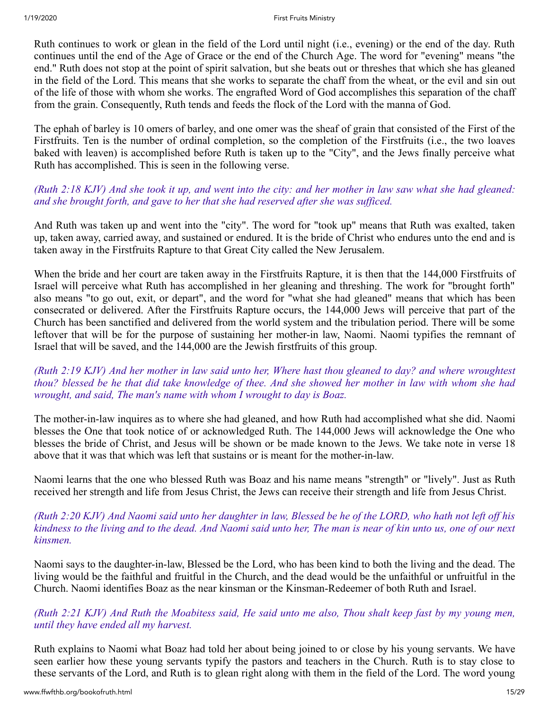Ruth continues to work or glean in the field of the Lord until night (i.e., evening) or the end of the day. Ruth continues until the end of the Age of Grace or the end of the Church Age. The word for "evening" means "the end." Ruth does not stop at the point of spirit salvation, but she beats out or threshes that which she has gleaned in the field of the Lord. This means that she works to separate the chaff from the wheat, or the evil and sin out of the life of those with whom she works. The engrafted Word of God accomplishes this separation of the chaff from the grain. Consequently, Ruth tends and feeds the flock of the Lord with the manna of God.

The ephah of barley is 10 omers of barley, and one omer was the sheaf of grain that consisted of the First of the Firstfruits. Ten is the number of ordinal completion, so the completion of the Firstfruits (i.e., the two loaves baked with leaven) is accomplished before Ruth is taken up to the "City", and the Jews finally perceive what Ruth has accomplished. This is seen in the following verse.

# *(Ruth 2:18 KJV) And she took it up, and went into the city: and her mother in law saw what she had gleaned: and she brought forth, and gave to her that she had reserved after she was sufficed.*

And Ruth was taken up and went into the "city". The word for "took up" means that Ruth was exalted, taken up, taken away, carried away, and sustained or endured. It is the bride of Christ who endures unto the end and is taken away in the Firstfruits Rapture to that Great City called the New Jerusalem.

When the bride and her court are taken away in the Firstfruits Rapture, it is then that the 144,000 Firstfruits of Israel will perceive what Ruth has accomplished in her gleaning and threshing. The work for "brought forth" also means "to go out, exit, or depart", and the word for "what she had gleaned" means that which has been consecrated or delivered. After the Firstfruits Rapture occurs, the 144,000 Jews will perceive that part of the Church has been sanctified and delivered from the world system and the tribulation period. There will be some leftover that will be for the purpose of sustaining her mother-in law, Naomi. Naomi typifies the remnant of Israel that will be saved, and the 144,000 are the Jewish firstfruits of this group.

## *(Ruth 2:19 KJV) And her mother in law said unto her, Where hast thou gleaned to day? and where wroughtest thou? blessed be he that did take knowledge of thee. And she showed her mother in law with whom she had wrought, and said, The man's name with whom I wrought to day is Boaz.*

The mother-in-law inquires as to where she had gleaned, and how Ruth had accomplished what she did. Naomi blesses the One that took notice of or acknowledged Ruth. The 144,000 Jews will acknowledge the One who blesses the bride of Christ, and Jesus will be shown or be made known to the Jews. We take note in verse 18 above that it was that which was left that sustains or is meant for the mother-in-law.

Naomi learns that the one who blessed Ruth was Boaz and his name means "strength" or "lively". Just as Ruth received her strength and life from Jesus Christ, the Jews can receive their strength and life from Jesus Christ.

## *(Ruth 2:20 KJV) And Naomi said unto her daughter in law, Blessed be he of the LORD, who hath not left off his kindness to the living and to the dead. And Naomi said unto her, The man is near of kin unto us, one of our next kinsmen.*

Naomi says to the daughter-in-law, Blessed be the Lord, who has been kind to both the living and the dead. The living would be the faithful and fruitful in the Church, and the dead would be the unfaithful or unfruitful in the Church. Naomi identifies Boaz as the near kinsman or the Kinsman-Redeemer of both Ruth and Israel.

# *(Ruth 2:21 KJV) And Ruth the Moabitess said, He said unto me also, Thou shalt keep fast by my young men, until they have ended all my harvest.*

Ruth explains to Naomi what Boaz had told her about being joined to or close by his young servants. We have seen earlier how these young servants typify the pastors and teachers in the Church. Ruth is to stay close to these servants of the Lord, and Ruth is to glean right along with them in the field of the Lord. The word young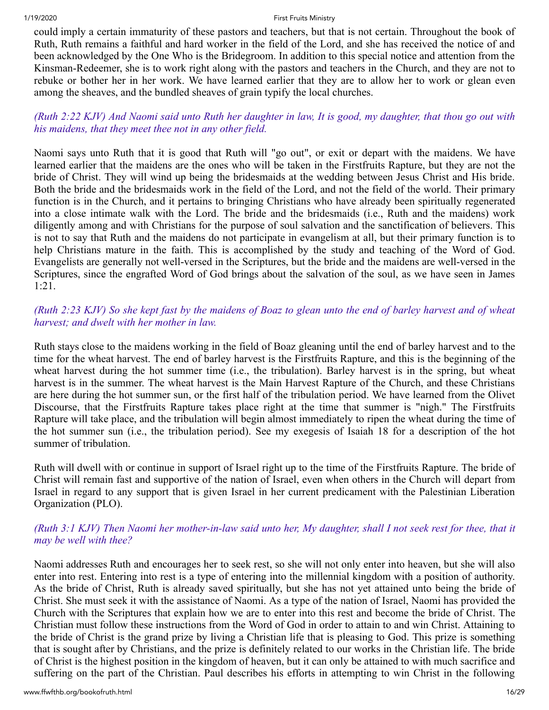could imply a certain immaturity of these pastors and teachers, but that is not certain. Throughout the book of Ruth, Ruth remains a faithful and hard worker in the field of the Lord, and she has received the notice of and been acknowledged by the One Who is the Bridegroom. In addition to this special notice and attention from the Kinsman-Redeemer, she is to work right along with the pastors and teachers in the Church, and they are not to rebuke or bother her in her work. We have learned earlier that they are to allow her to work or glean even among the sheaves, and the bundled sheaves of grain typify the local churches.

# *(Ruth 2:22 KJV) And Naomi said unto Ruth her daughter in law, It is good, my daughter, that thou go out with his maidens, that they meet thee not in any other field.*

Naomi says unto Ruth that it is good that Ruth will "go out", or exit or depart with the maidens. We have learned earlier that the maidens are the ones who will be taken in the Firstfruits Rapture, but they are not the bride of Christ. They will wind up being the bridesmaids at the wedding between Jesus Christ and His bride. Both the bride and the bridesmaids work in the field of the Lord, and not the field of the world. Their primary function is in the Church, and it pertains to bringing Christians who have already been spiritually regenerated into a close intimate walk with the Lord. The bride and the bridesmaids (i.e., Ruth and the maidens) work diligently among and with Christians for the purpose of soul salvation and the sanctification of believers. This is not to say that Ruth and the maidens do not participate in evangelism at all, but their primary function is to help Christians mature in the faith. This is accomplished by the study and teaching of the Word of God. Evangelists are generally not well-versed in the Scriptures, but the bride and the maidens are well-versed in the Scriptures, since the engrafted Word of God brings about the salvation of the soul, as we have seen in James 1:21.

# *(Ruth 2:23 KJV) So she kept fast by the maidens of Boaz to glean unto the end of barley harvest and of wheat harvest; and dwelt with her mother in law.*

Ruth stays close to the maidens working in the field of Boaz gleaning until the end of barley harvest and to the time for the wheat harvest. The end of barley harvest is the Firstfruits Rapture, and this is the beginning of the wheat harvest during the hot summer time (i.e., the tribulation). Barley harvest is in the spring, but wheat harvest is in the summer. The wheat harvest is the Main Harvest Rapture of the Church, and these Christians are here during the hot summer sun, or the first half of the tribulation period. We have learned from the Olivet Discourse, that the Firstfruits Rapture takes place right at the time that summer is "nigh." The Firstfruits Rapture will take place, and the tribulation will begin almost immediately to ripen the wheat during the time of the hot summer sun (i.e., the tribulation period). See my exegesis of Isaiah 18 for a description of the hot summer of tribulation.

Ruth will dwell with or continue in support of Israel right up to the time of the Firstfruits Rapture. The bride of Christ will remain fast and supportive of the nation of Israel, even when others in the Church will depart from Israel in regard to any support that is given Israel in her current predicament with the Palestinian Liberation Organization (PLO).

# *(Ruth 3:1 KJV) Then Naomi her mother-in-law said unto her, My daughter, shall I not seek rest for thee, that it may be well with thee?*

Naomi addresses Ruth and encourages her to seek rest, so she will not only enter into heaven, but she will also enter into rest. Entering into rest is a type of entering into the millennial kingdom with a position of authority. As the bride of Christ, Ruth is already saved spiritually, but she has not yet attained unto being the bride of Christ. She must seek it with the assistance of Naomi. As a type of the nation of Israel, Naomi has provided the Church with the Scriptures that explain how we are to enter into this rest and become the bride of Christ. The Christian must follow these instructions from the Word of God in order to attain to and win Christ. Attaining to the bride of Christ is the grand prize by living a Christian life that is pleasing to God. This prize is something that is sought after by Christians, and the prize is definitely related to our works in the Christian life. The bride of Christ is the highest position in the kingdom of heaven, but it can only be attained to with much sacrifice and suffering on the part of the Christian. Paul describes his efforts in attempting to win Christ in the following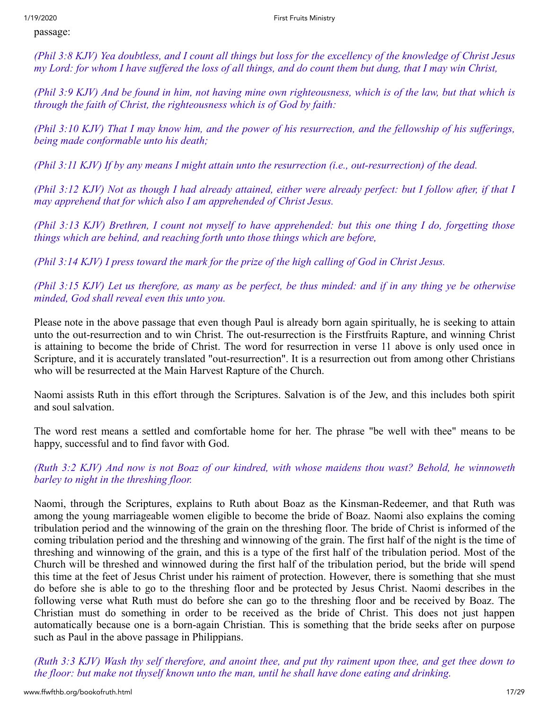passage:

*(Phil 3:8 KJV) Yea doubtless, and I count all things but loss for the excellency of the knowledge of Christ Jesus my Lord: for whom I have suffered the loss of all things, and do count them but dung, that I may win Christ,*

*(Phil 3:9 KJV) And be found in him, not having mine own righteousness, which is of the law, but that which is through the faith of Christ, the righteousness which is of God by faith:*

*(Phil 3:10 KJV) That I may know him, and the power of his resurrection, and the fellowship of his sufferings, being made conformable unto his death;*

*(Phil 3:11 KJV) If by any means I might attain unto the resurrection (i.e., out-resurrection) of the dead.*

*(Phil 3:12 KJV) Not as though I had already attained, either were already perfect: but I follow after, if that I may apprehend that for which also I am apprehended of Christ Jesus.*

*(Phil 3:13 KJV) Brethren, I count not myself to have apprehended: but this one thing I do, forgetting those things which are behind, and reaching forth unto those things which are before,*

*(Phil 3:14 KJV) I press toward the mark for the prize of the high calling of God in Christ Jesus.*

*(Phil 3:15 KJV) Let us therefore, as many as be perfect, be thus minded: and if in any thing ye be otherwise minded, God shall reveal even this unto you.* 

Please note in the above passage that even though Paul is already born again spiritually, he is seeking to attain unto the out-resurrection and to win Christ. The out-resurrection is the Firstfruits Rapture, and winning Christ is attaining to become the bride of Christ. The word for resurrection in verse 11 above is only used once in Scripture, and it is accurately translated "out-resurrection". It is a resurrection out from among other Christians who will be resurrected at the Main Harvest Rapture of the Church.

Naomi assists Ruth in this effort through the Scriptures. Salvation is of the Jew, and this includes both spirit and soul salvation.

The word rest means a settled and comfortable home for her. The phrase "be well with thee" means to be happy, successful and to find favor with God.

*(Ruth 3:2 KJV) And now is not Boaz of our kindred, with whose maidens thou wast? Behold, he winnoweth barley to night in the threshing floor.* 

Naomi, through the Scriptures, explains to Ruth about Boaz as the Kinsman-Redeemer, and that Ruth was among the young marriageable women eligible to become the bride of Boaz. Naomi also explains the coming tribulation period and the winnowing of the grain on the threshing floor. The bride of Christ is informed of the coming tribulation period and the threshing and winnowing of the grain. The first half of the night is the time of threshing and winnowing of the grain, and this is a type of the first half of the tribulation period. Most of the Church will be threshed and winnowed during the first half of the tribulation period, but the bride will spend this time at the feet of Jesus Christ under his raiment of protection. However, there is something that she must do before she is able to go to the threshing floor and be protected by Jesus Christ. Naomi describes in the following verse what Ruth must do before she can go to the threshing floor and be received by Boaz. The Christian must do something in order to be received as the bride of Christ. This does not just happen automatically because one is a born-again Christian. This is something that the bride seeks after on purpose such as Paul in the above passage in Philippians.

*(Ruth 3:3 KJV) Wash thy self therefore, and anoint thee, and put thy raiment upon thee, and get thee down to the floor: but make not thyself known unto the man, until he shall have done eating and drinking.*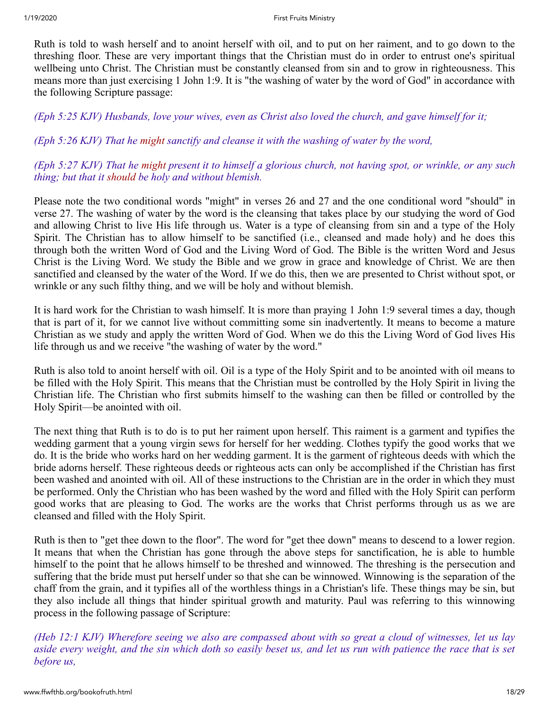Ruth is told to wash herself and to anoint herself with oil, and to put on her raiment, and to go down to the threshing floor. These are very important things that the Christian must do in order to entrust one's spiritual wellbeing unto Christ. The Christian must be constantly cleansed from sin and to grow in righteousness. This means more than just exercising 1 John 1:9. It is "the washing of water by the word of God" in accordance with the following Scripture passage:

*(Eph 5:25 KJV) Husbands, love your wives, even as Christ also loved the church, and gave himself for it;*

*(Eph 5:26 KJV) That he might sanctify and cleanse it with the washing of water by the word,*

*(Eph 5:27 KJV) That he might present it to himself a glorious church, not having spot, or wrinkle, or any such thing; but that it should be holy and without blemish.* 

Please note the two conditional words "might" in verses 26 and 27 and the one conditional word "should" in verse 27. The washing of water by the word is the cleansing that takes place by our studying the word of God and allowing Christ to live His life through us. Water is a type of cleansing from sin and a type of the Holy Spirit. The Christian has to allow himself to be sanctified (i.e., cleansed and made holy) and he does this through both the written Word of God and the Living Word of God. The Bible is the written Word and Jesus Christ is the Living Word. We study the Bible and we grow in grace and knowledge of Christ. We are then sanctified and cleansed by the water of the Word. If we do this, then we are presented to Christ without spot, or wrinkle or any such filthy thing, and we will be holy and without blemish.

It is hard work for the Christian to wash himself. It is more than praying 1 John 1:9 several times a day, though that is part of it, for we cannot live without committing some sin inadvertently. It means to become a mature Christian as we study and apply the written Word of God. When we do this the Living Word of God lives His life through us and we receive "the washing of water by the word."

Ruth is also told to anoint herself with oil. Oil is a type of the Holy Spirit and to be anointed with oil means to be filled with the Holy Spirit. This means that the Christian must be controlled by the Holy Spirit in living the Christian life. The Christian who first submits himself to the washing can then be filled or controlled by the Holy Spirit—be anointed with oil.

The next thing that Ruth is to do is to put her raiment upon herself. This raiment is a garment and typifies the wedding garment that a young virgin sews for herself for her wedding. Clothes typify the good works that we do. It is the bride who works hard on her wedding garment. It is the garment of righteous deeds with which the bride adorns herself. These righteous deeds or righteous acts can only be accomplished if the Christian has first been washed and anointed with oil. All of these instructions to the Christian are in the order in which they must be performed. Only the Christian who has been washed by the word and filled with the Holy Spirit can perform good works that are pleasing to God. The works are the works that Christ performs through us as we are cleansed and filled with the Holy Spirit.

Ruth is then to "get thee down to the floor". The word for "get thee down" means to descend to a lower region. It means that when the Christian has gone through the above steps for sanctification, he is able to humble himself to the point that he allows himself to be threshed and winnowed. The threshing is the persecution and suffering that the bride must put herself under so that she can be winnowed. Winnowing is the separation of the chaff from the grain, and it typifies all of the worthless things in a Christian's life. These things may be sin, but they also include all things that hinder spiritual growth and maturity. Paul was referring to this winnowing process in the following passage of Scripture:

*(Heb 12:1 KJV) Wherefore seeing we also are compassed about with so great a cloud of witnesses, let us lay aside every weight, and the sin which doth so easily beset us, and let us run with patience the race that is set before us,*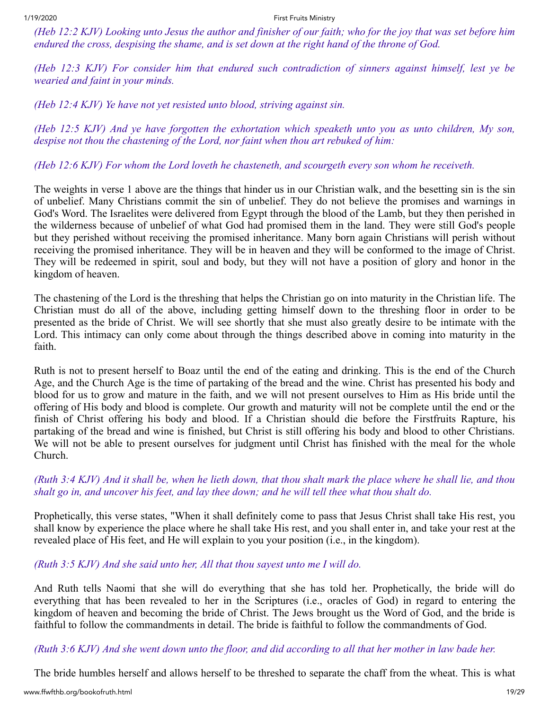*(Heb 12:2 KJV) Looking unto Jesus the author and finisher of our faith; who for the joy that was set before him endured the cross, despising the shame, and is set down at the right hand of the throne of God.*

*(Heb 12:3 KJV) For consider him that endured such contradiction of sinners against himself, lest ye be wearied and faint in your minds.*

*(Heb 12:4 KJV) Ye have not yet resisted unto blood, striving against sin.*

*(Heb 12:5 KJV) And ye have forgotten the exhortation which speaketh unto you as unto children, My son, despise not thou the chastening of the Lord, nor faint when thou art rebuked of him:*

*(Heb 12:6 KJV) For whom the Lord loveth he chasteneth, and scourgeth every son whom he receiveth.* 

The weights in verse 1 above are the things that hinder us in our Christian walk, and the besetting sin is the sin of unbelief. Many Christians commit the sin of unbelief. They do not believe the promises and warnings in God's Word. The Israelites were delivered from Egypt through the blood of the Lamb, but they then perished in the wilderness because of unbelief of what God had promised them in the land. They were still God's people but they perished without receiving the promised inheritance. Many born again Christians will perish without receiving the promised inheritance. They will be in heaven and they will be conformed to the image of Christ. They will be redeemed in spirit, soul and body, but they will not have a position of glory and honor in the kingdom of heaven.

The chastening of the Lord is the threshing that helps the Christian go on into maturity in the Christian life. The Christian must do all of the above, including getting himself down to the threshing floor in order to be presented as the bride of Christ. We will see shortly that she must also greatly desire to be intimate with the Lord. This intimacy can only come about through the things described above in coming into maturity in the faith.

Ruth is not to present herself to Boaz until the end of the eating and drinking. This is the end of the Church Age, and the Church Age is the time of partaking of the bread and the wine. Christ has presented his body and blood for us to grow and mature in the faith, and we will not present ourselves to Him as His bride until the offering of His body and blood is complete. Our growth and maturity will not be complete until the end or the finish of Christ offering his body and blood. If a Christian should die before the Firstfruits Rapture, his partaking of the bread and wine is finished, but Christ is still offering his body and blood to other Christians. We will not be able to present ourselves for judgment until Christ has finished with the meal for the whole Church.

*(Ruth 3:4 KJV) And it shall be, when he lieth down, that thou shalt mark the place where he shall lie, and thou shalt go in, and uncover his feet, and lay thee down; and he will tell thee what thou shalt do.* 

Prophetically, this verse states, "When it shall definitely come to pass that Jesus Christ shall take His rest, you shall know by experience the place where he shall take His rest, and you shall enter in, and take your rest at the revealed place of His feet, and He will explain to you your position (i.e., in the kingdom).

# *(Ruth 3:5 KJV) And she said unto her, All that thou sayest unto me I will do.*

And Ruth tells Naomi that she will do everything that she has told her. Prophetically, the bride will do everything that has been revealed to her in the Scriptures (i.e., oracles of God) in regard to entering the kingdom of heaven and becoming the bride of Christ. The Jews brought us the Word of God, and the bride is faithful to follow the commandments in detail. The bride is faithful to follow the commandments of God.

*(Ruth 3:6 KJV) And she went down unto the floor, and did according to all that her mother in law bade her.* 

The bride humbles herself and allows herself to be threshed to separate the chaff from the wheat. This is what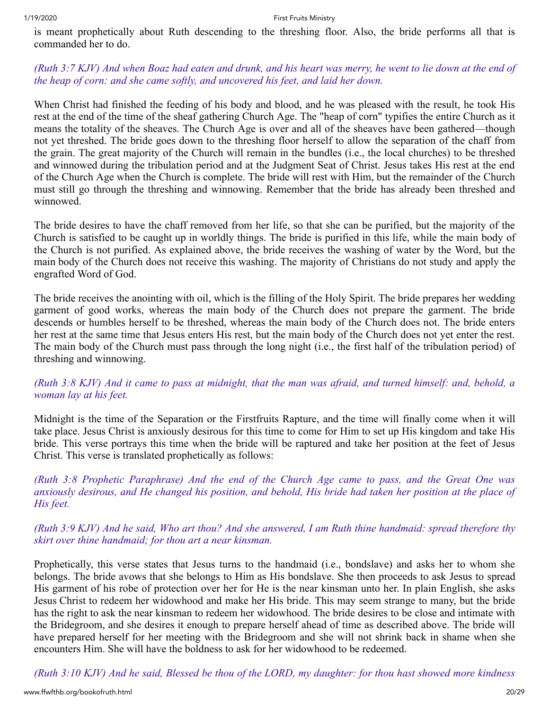is meant prophetically about Ruth descending to the threshing floor. Also, the bride performs all that is commanded her to do.

# *(Ruth 3:7 KJV) And when Boaz had eaten and drunk, and his heart was merry, he went to lie down at the end of the heap of corn: and she came softly, and uncovered his feet, and laid her down.*

When Christ had finished the feeding of his body and blood, and he was pleased with the result, he took His rest at the end of the time of the sheaf gathering Church Age. The "heap of corn" typifies the entire Church as it means the totality of the sheaves. The Church Age is over and all of the sheaves have been gathered—though not yet threshed. The bride goes down to the threshing floor herself to allow the separation of the chaff from the grain. The great majority of the Church will remain in the bundles (i.e., the local churches) to be threshed and winnowed during the tribulation period and at the Judgment Seat of Christ. Jesus takes His rest at the end of the Church Age when the Church is complete. The bride will rest with Him, but the remainder of the Church must still go through the threshing and winnowing. Remember that the bride has already been threshed and winnowed.

The bride desires to have the chaff removed from her life, so that she can be purified, but the majority of the Church is satisfied to be caught up in worldly things. The bride is purified in this life, while the main body of the Church is not purified. As explained above, the bride receives the washing of water by the Word, but the main body of the Church does not receive this washing. The majority of Christians do not study and apply the engrafted Word of God.

The bride receives the anointing with oil, which is the filling of the Holy Spirit. The bride prepares her wedding garment of good works, whereas the main body of the Church does not prepare the garment. The bride descends or humbles herself to be threshed, whereas the main body of the Church does not. The bride enters her rest at the same time that Jesus enters His rest, but the main body of the Church does not yet enter the rest. The main body of the Church must pass through the long night (i.e., the first half of the tribulation period) of threshing and winnowing.

*(Ruth 3:8 KJV) And it came to pass at midnight, that the man was afraid, and turned himself: and, behold, a woman lay at his feet.* 

Midnight is the time of the Separation or the Firstfruits Rapture, and the time will finally come when it will take place. Jesus Christ is anxiously desirous for this time to come for Him to set up His kingdom and take His bride. This verse portrays this time when the bride will be raptured and take her position at the feet of Jesus Christ. This verse is translated prophetically as follows:

*(Ruth 3:8 Prophetic Paraphrase) And the end of the Church Age came to pass, and the Great One was anxiously desirous, and He changed his position, and behold, His bride had taken her position at the place of His feet.* 

*(Ruth 3:9 KJV) And he said, Who art thou? And she answered, I am Ruth thine handmaid: spread therefore thy skirt over thine handmaid; for thou art a near kinsman.*

Prophetically, this verse states that Jesus turns to the handmaid (i.e., bondslave) and asks her to whom she belongs. The bride avows that she belongs to Him as His bondslave. She then proceeds to ask Jesus to spread His garment of his robe of protection over her for He is the near kinsman unto her. In plain English, she asks Jesus Christ to redeem her widowhood and make her His bride. This may seem strange to many, but the bride has the right to ask the near kinsman to redeem her widowhood. The bride desires to be close and intimate with the Bridegroom, and she desires it enough to prepare herself ahead of time as described above. The bride will have prepared herself for her meeting with the Bridegroom and she will not shrink back in shame when she encounters Him. She will have the boldness to ask for her widowhood to be redeemed.

*(Ruth 3:10 KJV) And he said, Blessed be thou of the LORD, my daughter: for thou hast showed more kindness*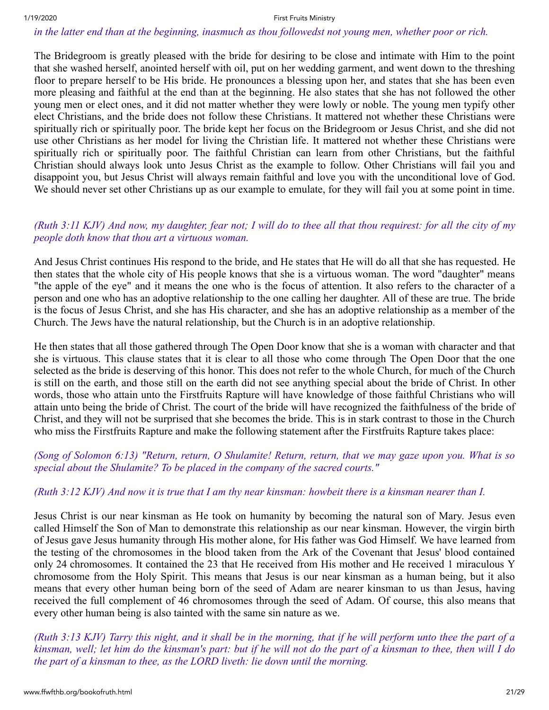#### *in the latter end than at the beginning, inasmuch as thou followedst not young men, whether poor or rich.*

The Bridegroom is greatly pleased with the bride for desiring to be close and intimate with Him to the point that she washed herself, anointed herself with oil, put on her wedding garment, and went down to the threshing floor to prepare herself to be His bride. He pronounces a blessing upon her, and states that she has been even more pleasing and faithful at the end than at the beginning. He also states that she has not followed the other young men or elect ones, and it did not matter whether they were lowly or noble. The young men typify other elect Christians, and the bride does not follow these Christians. It mattered not whether these Christians were spiritually rich or spiritually poor. The bride kept her focus on the Bridegroom or Jesus Christ, and she did not use other Christians as her model for living the Christian life. It mattered not whether these Christians were spiritually rich or spiritually poor. The faithful Christian can learn from other Christians, but the faithful Christian should always look unto Jesus Christ as the example to follow. Other Christians will fail you and disappoint you, but Jesus Christ will always remain faithful and love you with the unconditional love of God. We should never set other Christians up as our example to emulate, for they will fail you at some point in time.

# *(Ruth 3:11 KJV) And now, my daughter, fear not; I will do to thee all that thou requirest: for all the city of my people doth know that thou art a virtuous woman.*

And Jesus Christ continues His respond to the bride, and He states that He will do all that she has requested. He then states that the whole city of His people knows that she is a virtuous woman. The word "daughter" means "the apple of the eye" and it means the one who is the focus of attention. It also refers to the character of a person and one who has an adoptive relationship to the one calling her daughter. All of these are true. The bride is the focus of Jesus Christ, and she has His character, and she has an adoptive relationship as a member of the Church. The Jews have the natural relationship, but the Church is in an adoptive relationship.

He then states that all those gathered through The Open Door know that she is a woman with character and that she is virtuous. This clause states that it is clear to all those who come through The Open Door that the one selected as the bride is deserving of this honor. This does not refer to the whole Church, for much of the Church is still on the earth, and those still on the earth did not see anything special about the bride of Christ. In other words, those who attain unto the Firstfruits Rapture will have knowledge of those faithful Christians who will attain unto being the bride of Christ. The court of the bride will have recognized the faithfulness of the bride of Christ, and they will not be surprised that she becomes the bride. This is in stark contrast to those in the Church who miss the Firstfruits Rapture and make the following statement after the Firstfruits Rapture takes place:

# *(Song of Solomon 6:13) "Return, return, O Shulamite! Return, return, that we may gaze upon you. What is so special about the Shulamite? To be placed in the company of the sacred courts."*

#### *(Ruth 3:12 KJV) And now it is true that I am thy near kinsman: howbeit there is a kinsman nearer than I.*

Jesus Christ is our near kinsman as He took on humanity by becoming the natural son of Mary. Jesus even called Himself the Son of Man to demonstrate this relationship as our near kinsman. However, the virgin birth of Jesus gave Jesus humanity through His mother alone, for His father was God Himself. We have learned from the testing of the chromosomes in the blood taken from the Ark of the Covenant that Jesus' blood contained only 24 chromosomes. It contained the 23 that He received from His mother and He received 1 miraculous Y chromosome from the Holy Spirit. This means that Jesus is our near kinsman as a human being, but it also means that every other human being born of the seed of Adam are nearer kinsman to us than Jesus, having received the full complement of 46 chromosomes through the seed of Adam. Of course, this also means that every other human being is also tainted with the same sin nature as we.

*(Ruth 3:13 KJV) Tarry this night, and it shall be in the morning, that if he will perform unto thee the part of a kinsman, well; let him do the kinsman's part: but if he will not do the part of a kinsman to thee, then will I do the part of a kinsman to thee, as the LORD liveth: lie down until the morning.*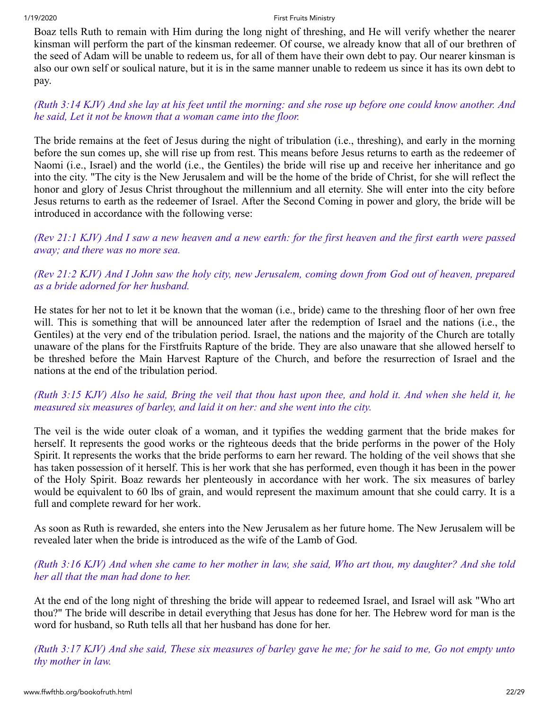Boaz tells Ruth to remain with Him during the long night of threshing, and He will verify whether the nearer kinsman will perform the part of the kinsman redeemer. Of course, we already know that all of our brethren of the seed of Adam will be unable to redeem us, for all of them have their own debt to pay. Our nearer kinsman is also our own self or soulical nature, but it is in the same manner unable to redeem us since it has its own debt to pay.

# *(Ruth 3:14 KJV) And she lay at his feet until the morning: and she rose up before one could know another. And he said, Let it not be known that a woman came into the floor.*

The bride remains at the feet of Jesus during the night of tribulation (i.e., threshing), and early in the morning before the sun comes up, she will rise up from rest. This means before Jesus returns to earth as the redeemer of Naomi (i.e., Israel) and the world (i.e., the Gentiles) the bride will rise up and receive her inheritance and go into the city. "The city is the New Jerusalem and will be the home of the bride of Christ, for she will reflect the honor and glory of Jesus Christ throughout the millennium and all eternity. She will enter into the city before Jesus returns to earth as the redeemer of Israel. After the Second Coming in power and glory, the bride will be introduced in accordance with the following verse:

*(Rev 21:1 KJV) And I saw a new heaven and a new earth: for the first heaven and the first earth were passed away; and there was no more sea.*

# *(Rev 21:2 KJV) And I John saw the holy city, new Jerusalem, coming down from God out of heaven, prepared as a bride adorned for her husband.*

He states for her not to let it be known that the woman (i.e., bride) came to the threshing floor of her own free will. This is something that will be announced later after the redemption of Israel and the nations (i.e., the Gentiles) at the very end of the tribulation period. Israel, the nations and the majority of the Church are totally unaware of the plans for the Firstfruits Rapture of the bride. They are also unaware that she allowed herself to be threshed before the Main Harvest Rapture of the Church, and before the resurrection of Israel and the nations at the end of the tribulation period.

# *(Ruth 3:15 KJV) Also he said, Bring the veil that thou hast upon thee, and hold it. And when she held it, he measured six measures of barley, and laid it on her: and she went into the city.*

The veil is the wide outer cloak of a woman, and it typifies the wedding garment that the bride makes for herself. It represents the good works or the righteous deeds that the bride performs in the power of the Holy Spirit. It represents the works that the bride performs to earn her reward. The holding of the veil shows that she has taken possession of it herself. This is her work that she has performed, even though it has been in the power of the Holy Spirit. Boaz rewards her plenteously in accordance with her work. The six measures of barley would be equivalent to 60 lbs of grain, and would represent the maximum amount that she could carry. It is a full and complete reward for her work.

As soon as Ruth is rewarded, she enters into the New Jerusalem as her future home. The New Jerusalem will be revealed later when the bride is introduced as the wife of the Lamb of God.

# *(Ruth 3:16 KJV) And when she came to her mother in law, she said, Who art thou, my daughter? And she told her all that the man had done to her.*

At the end of the long night of threshing the bride will appear to redeemed Israel, and Israel will ask "Who art thou?" The bride will describe in detail everything that Jesus has done for her. The Hebrew word for man is the word for husband, so Ruth tells all that her husband has done for her.

*(Ruth 3:17 KJV) And she said, These six measures of barley gave he me; for he said to me, Go not empty unto thy mother in law.*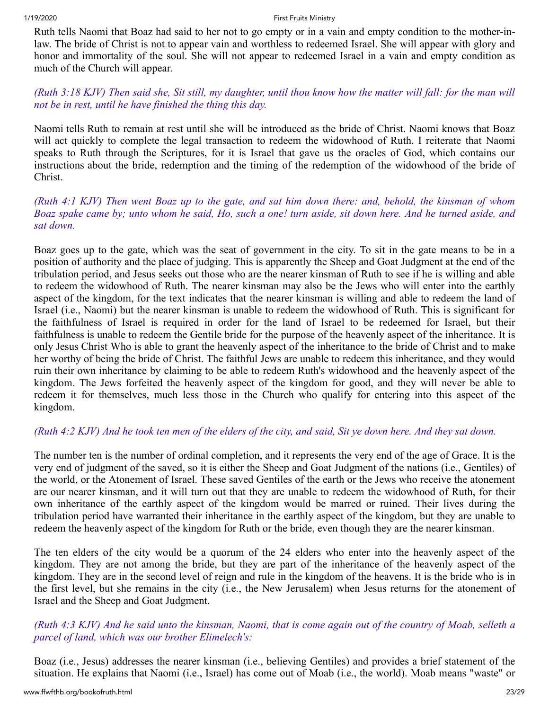Ruth tells Naomi that Boaz had said to her not to go empty or in a vain and empty condition to the mother-inlaw. The bride of Christ is not to appear vain and worthless to redeemed Israel. She will appear with glory and honor and immortality of the soul. She will not appear to redeemed Israel in a vain and empty condition as much of the Church will appear.

# *(Ruth 3:18 KJV) Then said she, Sit still, my daughter, until thou know how the matter will fall: for the man will not be in rest, until he have finished the thing this day.*

Naomi tells Ruth to remain at rest until she will be introduced as the bride of Christ. Naomi knows that Boaz will act quickly to complete the legal transaction to redeem the widowhood of Ruth. I reiterate that Naomi speaks to Ruth through the Scriptures, for it is Israel that gave us the oracles of God, which contains our instructions about the bride, redemption and the timing of the redemption of the widowhood of the bride of Christ.

# *(Ruth 4:1 KJV) Then went Boaz up to the gate, and sat him down there: and, behold, the kinsman of whom Boaz spake came by; unto whom he said, Ho, such a one! turn aside, sit down here. And he turned aside, and sat down.*

Boaz goes up to the gate, which was the seat of government in the city. To sit in the gate means to be in a position of authority and the place of judging. This is apparently the Sheep and Goat Judgment at the end of the tribulation period, and Jesus seeks out those who are the nearer kinsman of Ruth to see if he is willing and able to redeem the widowhood of Ruth. The nearer kinsman may also be the Jews who will enter into the earthly aspect of the kingdom, for the text indicates that the nearer kinsman is willing and able to redeem the land of Israel (i.e., Naomi) but the nearer kinsman is unable to redeem the widowhood of Ruth. This is significant for the faithfulness of Israel is required in order for the land of Israel to be redeemed for Israel, but their faithfulness is unable to redeem the Gentile bride for the purpose of the heavenly aspect of the inheritance. It is only Jesus Christ Who is able to grant the heavenly aspect of the inheritance to the bride of Christ and to make her worthy of being the bride of Christ. The faithful Jews are unable to redeem this inheritance, and they would ruin their own inheritance by claiming to be able to redeem Ruth's widowhood and the heavenly aspect of the kingdom. The Jews forfeited the heavenly aspect of the kingdom for good, and they will never be able to redeem it for themselves, much less those in the Church who qualify for entering into this aspect of the kingdom.

# *(Ruth 4:2 KJV) And he took ten men of the elders of the city, and said, Sit ye down here. And they sat down.*

The number ten is the number of ordinal completion, and it represents the very end of the age of Grace. It is the very end of judgment of the saved, so it is either the Sheep and Goat Judgment of the nations (i.e., Gentiles) of the world, or the Atonement of Israel. These saved Gentiles of the earth or the Jews who receive the atonement are our nearer kinsman, and it will turn out that they are unable to redeem the widowhood of Ruth, for their own inheritance of the earthly aspect of the kingdom would be marred or ruined. Their lives during the tribulation period have warranted their inheritance in the earthly aspect of the kingdom, but they are unable to redeem the heavenly aspect of the kingdom for Ruth or the bride, even though they are the nearer kinsman.

The ten elders of the city would be a quorum of the 24 elders who enter into the heavenly aspect of the kingdom. They are not among the bride, but they are part of the inheritance of the heavenly aspect of the kingdom. They are in the second level of reign and rule in the kingdom of the heavens. It is the bride who is in the first level, but she remains in the city (i.e., the New Jerusalem) when Jesus returns for the atonement of Israel and the Sheep and Goat Judgment.

# *(Ruth 4:3 KJV) And he said unto the kinsman, Naomi, that is come again out of the country of Moab, selleth a parcel of land, which was our brother Elimelech's:*

Boaz (i.e., Jesus) addresses the nearer kinsman (i.e., believing Gentiles) and provides a brief statement of the situation. He explains that Naomi (i.e., Israel) has come out of Moab (i.e., the world). Moab means "waste" or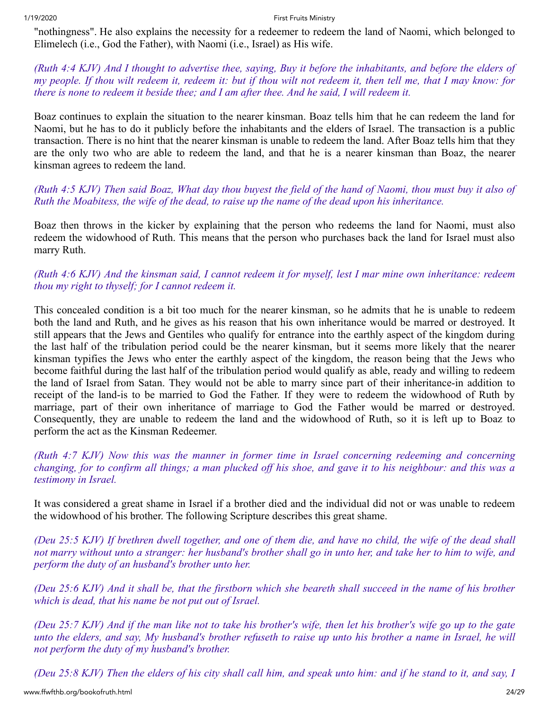"nothingness". He also explains the necessity for a redeemer to redeem the land of Naomi, which belonged to Elimelech (i.e., God the Father), with Naomi (i.e., Israel) as His wife.

*(Ruth 4:4 KJV) And I thought to advertise thee, saying, Buy it before the inhabitants, and before the elders of my people. If thou wilt redeem it, redeem it: but if thou wilt not redeem it, then tell me, that I may know: for there is none to redeem it beside thee; and I am after thee. And he said, I will redeem it.* 

Boaz continues to explain the situation to the nearer kinsman. Boaz tells him that he can redeem the land for Naomi, but he has to do it publicly before the inhabitants and the elders of Israel. The transaction is a public transaction. There is no hint that the nearer kinsman is unable to redeem the land. After Boaz tells him that they are the only two who are able to redeem the land, and that he is a nearer kinsman than Boaz, the nearer kinsman agrees to redeem the land.

# *(Ruth 4:5 KJV) Then said Boaz, What day thou buyest the field of the hand of Naomi, thou must buy it also of Ruth the Moabitess, the wife of the dead, to raise up the name of the dead upon his inheritance.*

Boaz then throws in the kicker by explaining that the person who redeems the land for Naomi, must also redeem the widowhood of Ruth. This means that the person who purchases back the land for Israel must also marry Ruth.

# *(Ruth 4:6 KJV) And the kinsman said, I cannot redeem it for myself, lest I mar mine own inheritance: redeem thou my right to thyself; for I cannot redeem it.*

This concealed condition is a bit too much for the nearer kinsman, so he admits that he is unable to redeem both the land and Ruth, and he gives as his reason that his own inheritance would be marred or destroyed. It still appears that the Jews and Gentiles who qualify for entrance into the earthly aspect of the kingdom during the last half of the tribulation period could be the nearer kinsman, but it seems more likely that the nearer kinsman typifies the Jews who enter the earthly aspect of the kingdom, the reason being that the Jews who become faithful during the last half of the tribulation period would qualify as able, ready and willing to redeem the land of Israel from Satan. They would not be able to marry since part of their inheritance-in addition to receipt of the land-is to be married to God the Father. If they were to redeem the widowhood of Ruth by marriage, part of their own inheritance of marriage to God the Father would be marred or destroyed. Consequently, they are unable to redeem the land and the widowhood of Ruth, so it is left up to Boaz to perform the act as the Kinsman Redeemer.

*(Ruth 4:7 KJV) Now this was the manner in former time in Israel concerning redeeming and concerning changing, for to confirm all things; a man plucked off his shoe, and gave it to his neighbour: and this was a testimony in Israel.* 

It was considered a great shame in Israel if a brother died and the individual did not or was unable to redeem the widowhood of his brother. The following Scripture describes this great shame.

*(Deu 25:5 KJV) If brethren dwell together, and one of them die, and have no child, the wife of the dead shall not marry without unto a stranger: her husband's brother shall go in unto her, and take her to him to wife, and perform the duty of an husband's brother unto her.*

*(Deu 25:6 KJV) And it shall be, that the firstborn which she beareth shall succeed in the name of his brother which is dead, that his name be not put out of Israel.*

*(Deu 25:7 KJV) And if the man like not to take his brother's wife, then let his brother's wife go up to the gate unto the elders, and say, My husband's brother refuseth to raise up unto his brother a name in Israel, he will not perform the duty of my husband's brother.*

*(Deu 25:8 KJV) Then the elders of his city shall call him, and speak unto him: and if he stand to it, and say, I*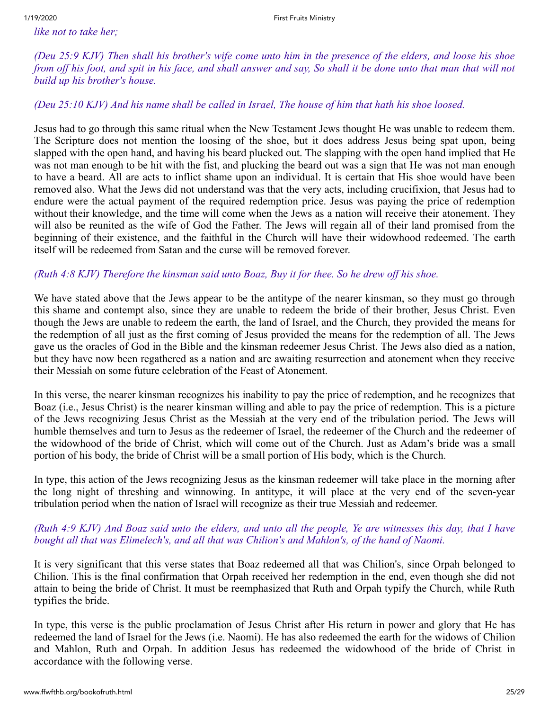*like not to take her;*

*(Deu 25:9 KJV) Then shall his brother's wife come unto him in the presence of the elders, and loose his shoe from off his foot, and spit in his face, and shall answer and say, So shall it be done unto that man that will not build up his brother's house.*

*(Deu 25:10 KJV) And his name shall be called in Israel, The house of him that hath his shoe loosed.* 

Jesus had to go through this same ritual when the New Testament Jews thought He was unable to redeem them. The Scripture does not mention the loosing of the shoe, but it does address Jesus being spat upon, being slapped with the open hand, and having his beard plucked out. The slapping with the open hand implied that He was not man enough to be hit with the fist, and plucking the beard out was a sign that He was not man enough to have a beard. All are acts to inflict shame upon an individual. It is certain that His shoe would have been removed also. What the Jews did not understand was that the very acts, including crucifixion, that Jesus had to endure were the actual payment of the required redemption price. Jesus was paying the price of redemption without their knowledge, and the time will come when the Jews as a nation will receive their atonement. They will also be reunited as the wife of God the Father. The Jews will regain all of their land promised from the beginning of their existence, and the faithful in the Church will have their widowhood redeemed. The earth itself will be redeemed from Satan and the curse will be removed forever.

# *(Ruth 4:8 KJV) Therefore the kinsman said unto Boaz, Buy it for thee. So he drew off his shoe.*

We have stated above that the Jews appear to be the antitype of the nearer kinsman, so they must go through this shame and contempt also, since they are unable to redeem the bride of their brother, Jesus Christ. Even though the Jews are unable to redeem the earth, the land of Israel, and the Church, they provided the means for the redemption of all just as the first coming of Jesus provided the means for the redemption of all. The Jews gave us the oracles of God in the Bible and the kinsman redeemer Jesus Christ. The Jews also died as a nation, but they have now been regathered as a nation and are awaiting resurrection and atonement when they receive their Messiah on some future celebration of the Feast of Atonement.

In this verse, the nearer kinsman recognizes his inability to pay the price of redemption, and he recognizes that Boaz (i.e., Jesus Christ) is the nearer kinsman willing and able to pay the price of redemption. This is a picture of the Jews recognizing Jesus Christ as the Messiah at the very end of the tribulation period. The Jews will humble themselves and turn to Jesus as the redeemer of Israel, the redeemer of the Church and the redeemer of the widowhood of the bride of Christ, which will come out of the Church. Just as Adam's bride was a small portion of his body, the bride of Christ will be a small portion of His body, which is the Church.

In type, this action of the Jews recognizing Jesus as the kinsman redeemer will take place in the morning after the long night of threshing and winnowing. In antitype, it will place at the very end of the seven-year tribulation period when the nation of Israel will recognize as their true Messiah and redeemer.

# *(Ruth 4:9 KJV) And Boaz said unto the elders, and unto all the people, Ye are witnesses this day, that I have bought all that was Elimelech's, and all that was Chilion's and Mahlon's, of the hand of Naomi.*

It is very significant that this verse states that Boaz redeemed all that was Chilion's, since Orpah belonged to Chilion. This is the final confirmation that Orpah received her redemption in the end, even though she did not attain to being the bride of Christ. It must be reemphasized that Ruth and Orpah typify the Church, while Ruth typifies the bride.

In type, this verse is the public proclamation of Jesus Christ after His return in power and glory that He has redeemed the land of Israel for the Jews (i.e. Naomi). He has also redeemed the earth for the widows of Chilion and Mahlon, Ruth and Orpah. In addition Jesus has redeemed the widowhood of the bride of Christ in accordance with the following verse.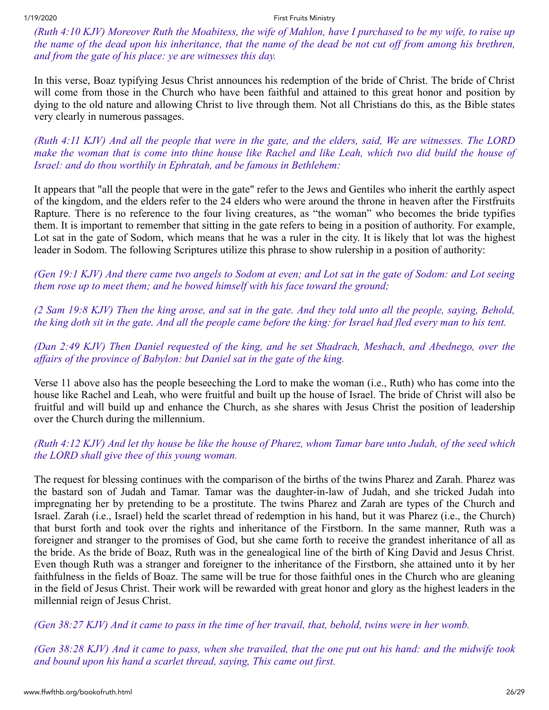*(Ruth 4:10 KJV) Moreover Ruth the Moabitess, the wife of Mahlon, have I purchased to be my wife, to raise up the name of the dead upon his inheritance, that the name of the dead be not cut off from among his brethren, and from the gate of his place: ye are witnesses this day.*

In this verse, Boaz typifying Jesus Christ announces his redemption of the bride of Christ. The bride of Christ will come from those in the Church who have been faithful and attained to this great honor and position by dying to the old nature and allowing Christ to live through them. Not all Christians do this, as the Bible states very clearly in numerous passages.

*(Ruth 4:11 KJV) And all the people that were in the gate, and the elders, said, We are witnesses. The LORD make the woman that is come into thine house like Rachel and like Leah, which two did build the house of Israel: and do thou worthily in Ephratah, and be famous in Bethlehem:*

It appears that "all the people that were in the gate" refer to the Jews and Gentiles who inherit the earthly aspect of the kingdom, and the elders refer to the 24 elders who were around the throne in heaven after the Firstfruits Rapture. There is no reference to the four living creatures, as "the woman" who becomes the bride typifies them. It is important to remember that sitting in the gate refers to being in a position of authority. For example, Lot sat in the gate of Sodom, which means that he was a ruler in the city. It is likely that lot was the highest leader in Sodom. The following Scriptures utilize this phrase to show rulership in a position of authority:

*(Gen 19:1 KJV) And there came two angels to Sodom at even; and Lot sat in the gate of Sodom: and Lot seeing them rose up to meet them; and he bowed himself with his face toward the ground;* 

*(2 Sam 19:8 KJV) Then the king arose, and sat in the gate. And they told unto all the people, saying, Behold, the king doth sit in the gate. And all the people came before the king: for Israel had fled every man to his tent.* 

*(Dan 2:49 KJV) Then Daniel requested of the king, and he set Shadrach, Meshach, and Abednego, over the affairs of the province of Babylon: but Daniel sat in the gate of the king.* 

Verse 11 above also has the people beseeching the Lord to make the woman (i.e., Ruth) who has come into the house like Rachel and Leah, who were fruitful and built up the house of Israel. The bride of Christ will also be fruitful and will build up and enhance the Church, as she shares with Jesus Christ the position of leadership over the Church during the millennium.

*(Ruth 4:12 KJV) And let thy house be like the house of Pharez, whom Tamar bare unto Judah, of the seed which the LORD shall give thee of this young woman.* 

The request for blessing continues with the comparison of the births of the twins Pharez and Zarah. Pharez was the bastard son of Judah and Tamar. Tamar was the daughter-in-law of Judah, and she tricked Judah into impregnating her by pretending to be a prostitute. The twins Pharez and Zarah are types of the Church and Israel. Zarah (i.e., Israel) held the scarlet thread of redemption in his hand, but it was Pharez (i.e., the Church) that burst forth and took over the rights and inheritance of the Firstborn. In the same manner, Ruth was a foreigner and stranger to the promises of God, but she came forth to receive the grandest inheritance of all as the bride. As the bride of Boaz, Ruth was in the genealogical line of the birth of King David and Jesus Christ. Even though Ruth was a stranger and foreigner to the inheritance of the Firstborn, she attained unto it by her faithfulness in the fields of Boaz. The same will be true for those faithful ones in the Church who are gleaning in the field of Jesus Christ. Their work will be rewarded with great honor and glory as the highest leaders in the millennial reign of Jesus Christ.

*(Gen 38:27 KJV) And it came to pass in the time of her travail, that, behold, twins were in her womb.*

*(Gen 38:28 KJV) And it came to pass, when she travailed, that the one put out his hand: and the midwife took and bound upon his hand a scarlet thread, saying, This came out first.*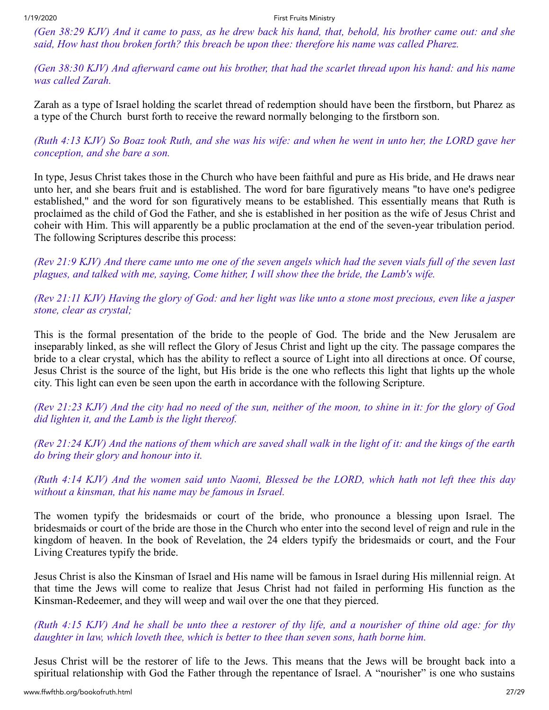*(Gen 38:29 KJV) And it came to pass, as he drew back his hand, that, behold, his brother came out: and she said, How hast thou broken forth? this breach be upon thee: therefore his name was called Pharez.*

*(Gen 38:30 KJV) And afterward came out his brother, that had the scarlet thread upon his hand: and his name was called Zarah.* 

Zarah as a type of Israel holding the scarlet thread of redemption should have been the firstborn, but Pharez as a type of the Church burst forth to receive the reward normally belonging to the firstborn son.

*(Ruth 4:13 KJV) So Boaz took Ruth, and she was his wife: and when he went in unto her, the LORD gave her conception, and she bare a son.*

In type, Jesus Christ takes those in the Church who have been faithful and pure as His bride, and He draws near unto her, and she bears fruit and is established. The word for bare figuratively means "to have one's pedigree established," and the word for son figuratively means to be established. This essentially means that Ruth is proclaimed as the child of God the Father, and she is established in her position as the wife of Jesus Christ and coheir with Him. This will apparently be a public proclamation at the end of the seven-year tribulation period. The following Scriptures describe this process:

*(Rev 21:9 KJV) And there came unto me one of the seven angels which had the seven vials full of the seven last plagues, and talked with me, saying, Come hither, I will show thee the bride, the Lamb's wife.*

*(Rev 21:11 KJV) Having the glory of God: and her light was like unto a stone most precious, even like a jasper stone, clear as crystal;* 

This is the formal presentation of the bride to the people of God. The bride and the New Jerusalem are inseparably linked, as she will reflect the Glory of Jesus Christ and light up the city. The passage compares the bride to a clear crystal, which has the ability to reflect a source of Light into all directions at once. Of course, Jesus Christ is the source of the light, but His bride is the one who reflects this light that lights up the whole city. This light can even be seen upon the earth in accordance with the following Scripture.

*(Rev 21:23 KJV) And the city had no need of the sun, neither of the moon, to shine in it: for the glory of God did lighten it, and the Lamb is the light thereof.*

*(Rev 21:24 KJV) And the nations of them which are saved shall walk in the light of it: and the kings of the earth do bring their glory and honour into it.* 

*(Ruth 4:14 KJV) And the women said unto Naomi, Blessed be the LORD, which hath not left thee this day without a kinsman, that his name may be famous in Israel.* 

The women typify the bridesmaids or court of the bride, who pronounce a blessing upon Israel. The bridesmaids or court of the bride are those in the Church who enter into the second level of reign and rule in the kingdom of heaven. In the book of Revelation, the 24 elders typify the bridesmaids or court, and the Four Living Creatures typify the bride.

Jesus Christ is also the Kinsman of Israel and His name will be famous in Israel during His millennial reign. At that time the Jews will come to realize that Jesus Christ had not failed in performing His function as the Kinsman-Redeemer, and they will weep and wail over the one that they pierced.

*(Ruth 4:15 KJV) And he shall be unto thee a restorer of thy life, and a nourisher of thine old age: for thy daughter in law, which loveth thee, which is better to thee than seven sons, hath borne him.* 

Jesus Christ will be the restorer of life to the Jews. This means that the Jews will be brought back into a spiritual relationship with God the Father through the repentance of Israel. A "nourisher" is one who sustains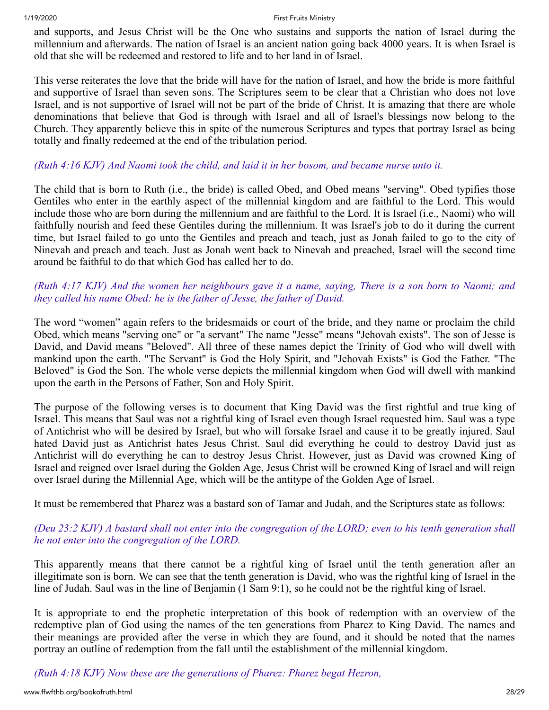and supports, and Jesus Christ will be the One who sustains and supports the nation of Israel during the millennium and afterwards. The nation of Israel is an ancient nation going back 4000 years. It is when Israel is old that she will be redeemed and restored to life and to her land in of Israel.

This verse reiterates the love that the bride will have for the nation of Israel, and how the bride is more faithful and supportive of Israel than seven sons. The Scriptures seem to be clear that a Christian who does not love Israel, and is not supportive of Israel will not be part of the bride of Christ. It is amazing that there are whole denominations that believe that God is through with Israel and all of Israel's blessings now belong to the Church. They apparently believe this in spite of the numerous Scriptures and types that portray Israel as being totally and finally redeemed at the end of the tribulation period.

# *(Ruth 4:16 KJV) And Naomi took the child, and laid it in her bosom, and became nurse unto it.*

The child that is born to Ruth (i.e., the bride) is called Obed, and Obed means "serving". Obed typifies those Gentiles who enter in the earthly aspect of the millennial kingdom and are faithful to the Lord. This would include those who are born during the millennium and are faithful to the Lord. It is Israel (i.e., Naomi) who will faithfully nourish and feed these Gentiles during the millennium. It was Israel's job to do it during the current time, but Israel failed to go unto the Gentiles and preach and teach, just as Jonah failed to go to the city of Ninevah and preach and teach. Just as Jonah went back to Ninevah and preached, Israel will the second time around be faithful to do that which God has called her to do.

# *(Ruth 4:17 KJV) And the women her neighbours gave it a name, saying, There is a son born to Naomi; and they called his name Obed: he is the father of Jesse, the father of David.*

The word "women" again refers to the bridesmaids or court of the bride, and they name or proclaim the child Obed, which means "serving one" or "a servant" The name "Jesse" means "Jehovah exists". The son of Jesse is David, and David means "Beloved". All three of these names depict the Trinity of God who will dwell with mankind upon the earth. "The Servant" is God the Holy Spirit, and "Jehovah Exists" is God the Father. "The Beloved" is God the Son. The whole verse depicts the millennial kingdom when God will dwell with mankind upon the earth in the Persons of Father, Son and Holy Spirit.

The purpose of the following verses is to document that King David was the first rightful and true king of Israel. This means that Saul was not a rightful king of Israel even though Israel requested him. Saul was a type of Antichrist who will be desired by Israel, but who will forsake Israel and cause it to be greatly injured. Saul hated David just as Antichrist hates Jesus Christ. Saul did everything he could to destroy David just as Antichrist will do everything he can to destroy Jesus Christ. However, just as David was crowned King of Israel and reigned over Israel during the Golden Age, Jesus Christ will be crowned King of Israel and will reign over Israel during the Millennial Age, which will be the antitype of the Golden Age of Israel.

It must be remembered that Pharez was a bastard son of Tamar and Judah, and the Scriptures state as follows:

# *(Deu 23:2 KJV) A bastard shall not enter into the congregation of the LORD; even to his tenth generation shall he not enter into the congregation of the LORD.*

This apparently means that there cannot be a rightful king of Israel until the tenth generation after an illegitimate son is born. We can see that the tenth generation is David, who was the rightful king of Israel in the line of Judah. Saul was in the line of Benjamin (1 Sam 9:1), so he could not be the rightful king of Israel.

It is appropriate to end the prophetic interpretation of this book of redemption with an overview of the redemptive plan of God using the names of the ten generations from Pharez to King David. The names and their meanings are provided after the verse in which they are found, and it should be noted that the names portray an outline of redemption from the fall until the establishment of the millennial kingdom.

*(Ruth 4:18 KJV) Now these are the generations of Pharez: Pharez begat Hezron,*